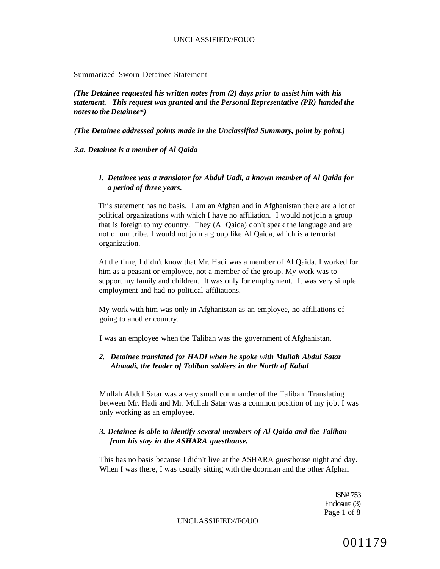#### Summarized Sworn Detainee Statement

*(The Detainee requested his written notes from (2) days prior to assist him with his statement. This request was granted and the Personal Representative (PR) handed the notes to the Detainee\*)* 

*(The Detainee addressed points made in the Unclassified Summary, point by point.)* 

*3.a. Detainee is a member of Al Qaida* 

# *1. Detainee was a translator for Abdul Uadi, a known member of Al Qaida for a period of three years.*

This statement has no basis. I am an Afghan and in Afghanistan there are a lot of political organizations with which I have no affiliation. I would not join a group that is foreign to my country. They (Al Qaida) don't speak the language and are not of our tribe. I would not join a group like Al Qaida, which is a terrorist organization.

At the time, I didn't know that Mr. Hadi was a member of Al Qaida. I worked for him as a peasant or employee, not a member of the group. My work was to support my family and children. It was only for employment. It was very simple employment and had no political affiliations.

My work with him was only in Afghanistan as an employee, no affiliations of going to another country.

I was an employee when the Taliban was the government of Afghanistan.

# *2. Detainee translated for HADI when he spoke with Mullah Abdul Satar Ahmadi, the leader of Taliban soldiers in the North of Kabul*

Mullah Abdul Satar was a very small commander of the Taliban. Translating between Mr. Hadi and Mr. Mullah Satar was a common position of my job. I was only working as an employee.

# *3. Detainee is able to identify several members of Al Qaida and the Taliban from his stay in the ASHARA guesthouse.*

This has no basis because I didn't live at the ASHARA guesthouse night and day. When I was there, I was usually sitting with the doorman and the other Afghan

> ISN# 753 Enclosure (3) Page 1 of 8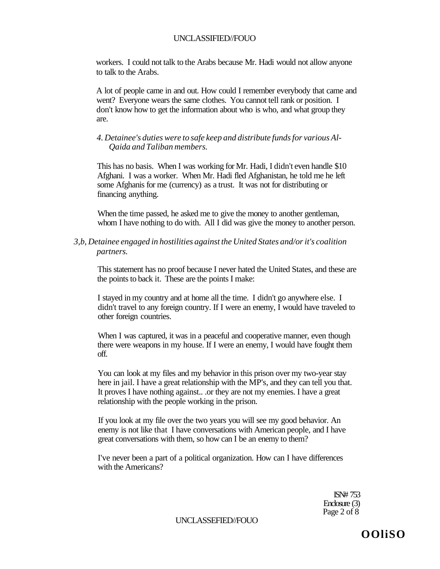workers. I could not talk to the Arabs because Mr. Hadi would not allow anyone to talk to the Arabs.

A lot of people came in and out. How could I remember everybody that came and went? Everyone wears the same clothes. You cannot tell rank or position. I don't know how to get the information about who is who, and what group they are.

*4. Detainee's duties were to safe keep and distribute funds for various Al-Qaida and Taliban members.* 

This has no basis. When I was working for Mr. Hadi, I didn't even handle \$10 Afghani. I was a worker. When Mr. Hadi fled Afghanistan, he told me he left some Afghanis for me (currency) as a trust. It was not for distributing or financing anything.

When the time passed, he asked me to give the money to another gentleman, whom I have nothing to do with. All I did was give the money to another person.

*3,b, Detainee engaged in hostilities against the United States and/or it's coalition partners.* 

This statement has no proof because I never hated the United States, and these are the points to back it. These are the points I make:

I stayed in my country and at home all the time. I didn't go anywhere else. I didn't travel to any foreign country. If I were an enemy, I would have traveled to other foreign countries.

When I was captured, it was in a peaceful and cooperative manner, even though there were weapons in my house. If I were an enemy, I would have fought them off.

You can look at my files and my behavior in this prison over my two-year stay here in jail. I have a great relationship with the MP's, and they can tell you that. It proves I have nothing against.. .or they are not my enemies. I have a great relationship with the people working in the prison.

If you look at my file over the two years you will see my good behavior. An enemy is not like that I have conversations with American people, and I have great conversations with them, so how can I be an enemy to them?

I've never been a part of a political organization. How can I have differences with the Americans?

> ISN# 753 Enclosure (3) Page 2 of 8

UNCLASSEFIED//FOUO

**OOliSO**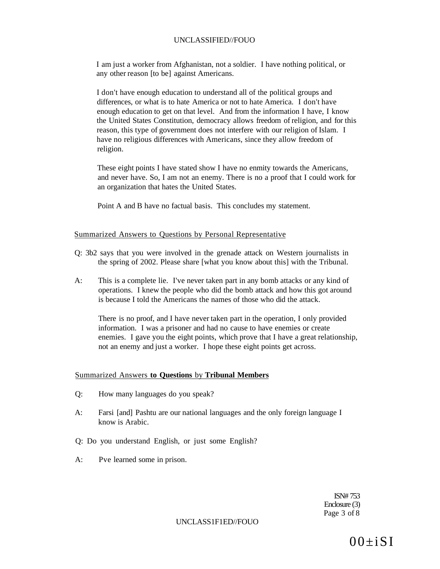I am just a worker from Afghanistan, not a soldier. I have nothing political, or any other reason [to be] against Americans.

I don't have enough education to understand all of the political groups and differences, or what is to hate America or not to hate America. I don't have enough education to get on that level. And from the information I have, I know the United States Constitution, democracy allows freedom of religion, and for this reason, this type of government does not interfere with our religion of Islam. I have no religious differences with Americans, since they allow freedom of religion.

These eight points I have stated show I have no enmity towards the Americans, and never have. So, I am not an enemy. There is no a proof that I could work for an organization that hates the United States.

Point A and B have no factual basis. This concludes my statement.

#### Summarized Answers to Questions by Personal Representative

- Q: 3b2 says that you were involved in the grenade attack on Western journalists in the spring of 2002. Please share [what you know about this] with the Tribunal.
- A: This is a complete lie. I've never taken part in any bomb attacks or any kind of operations. I knew the people who did the bomb attack and how this got around is because I told the Americans the names of those who did the attack.

There is no proof, and I have never taken part in the operation, I only provided information. I was a prisoner and had no cause to have enemies or create enemies. I gave you the eight points, which prove that I have a great relationship, not an enemy and just a worker. I hope these eight points get across.

#### Summarized Answers **to Questions** by **Tribunal Members**

- Q: How many languages do you speak?
- A: Farsi [and] Pashtu are our national languages and the only foreign language I know is Arabic.
- Q: Do you understand English, or just some English?
- A: Pve learned some in prison.

ISN# 753 Enclosure (3) Page 3 of 8

UNCLASS1F1ED//FOUO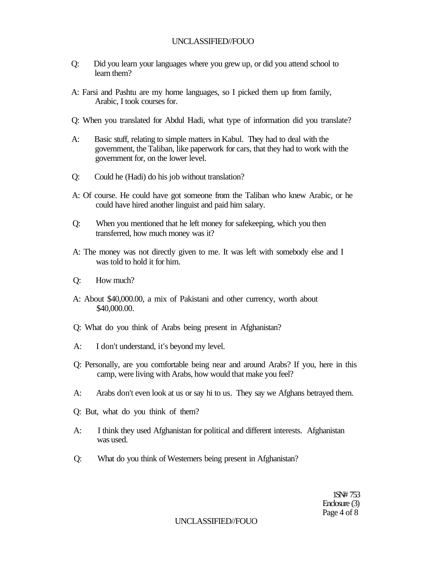- Q: Did you learn your languages where you grew up, or did you attend school to learn them?
- A: Farsi and Pashtu are my home languages, so I picked them up from family, Arabic, I took courses for.
- Q: When you translated for Abdul Hadi, what type of information did you translate?
- A: Basic stuff, relating to simple matters in Kabul. They had to deal with the government, the Taliban, like paperwork for cars, that they had to work with the government for, on the lower level.
- Q: Could he (Hadi) do his job without translation?
- A: Of course. He could have got someone from the Taliban who knew Arabic, or he could have hired another linguist and paid him salary.
- Q: When you mentioned that he left money for safekeeping, which you then transferred, how much money was it?
- A: The money was not directly given to me. It was left with somebody else and I was told to hold it for him.
- Q: How much?
- A: About \$40,000.00, a mix of Pakistani and other currency, worth about \$40,000.00.
- Q: What do you think of Arabs being present in Afghanistan?
- A: I don't understand, it's beyond my level.
- Q: Personally, are you comfortable being near and around Arabs? If you, here in this camp, were living with Arabs, how would that make you feel?
- A: Arabs don't even look at us or say hi to us. They say we Afghans betrayed them.
- Q: But, what do you think of them?
- A: I think they used Afghanistan for political and different interests. Afghanistan was used.
- Q: What do you think of Westerners being present in Afghanistan?

1SN# 753 Enclosure (3) Page 4 of 8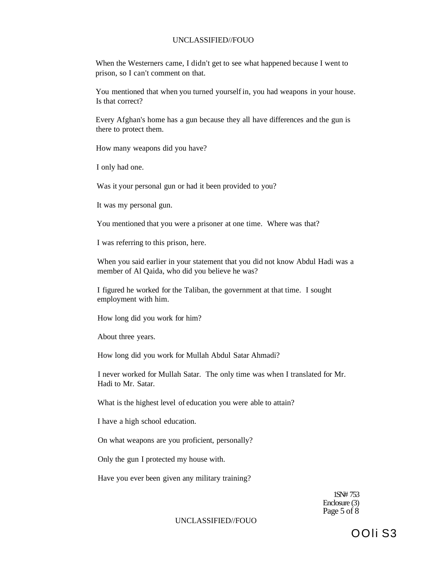When the Westerners came, I didn't get to see what happened because I went to prison, so I can't comment on that.

You mentioned that when you turned yourself in, you had weapons in your house. Is that correct?

Every Afghan's home has a gun because they all have differences and the gun is there to protect them.

How many weapons did you have?

I only had one.

Was it your personal gun or had it been provided to you?

It was my personal gun.

You mentioned that you were a prisoner at one time. Where was that?

I was referring to this prison, here.

When you said earlier in your statement that you did not know Abdul Hadi was a member of Al Qaida, who did you believe he was?

I figured he worked for the Taliban, the government at that time. I sought employment with him.

How long did you work for him?

About three years.

How long did you work for Mullah Abdul Satar Ahmadi?

I never worked for Mullah Satar. The only time was when I translated for Mr. Hadi to Mr. Satar.

What is the highest level of education you were able to attain?

I have a high school education.

On what weapons are you proficient, personally?

Only the gun I protected my house with.

Have you ever been given any military training?

1SN# 753 Enclosure (3) Page 5 of 8

UNCLASSIFIED//FOUO

OOIi S3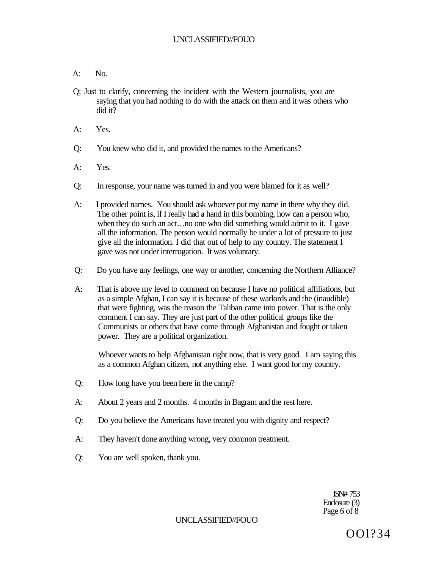- $A:$  No.
- Q; Just to clarify, concerning the incident with the Western journalists, you are saying that you had nothing to do with the attack on them and it was others who did it?
- A: Yes.
- Q: You knew who did it, and provided the names to the Americans?
- A: Yes.
- Q: In response, your name was turned in and you were blamed for it as well?
- A: I provided names. You should ask whoever put my name in there why they did. The other point is, if I really had a hand in this bombing, how can a person who, when they do such an act... .no one who did something would admit to it. I gave all the information. The person would normally be under a lot of pressure to just give all the information. I did that out of help to my country. The statement I gave was not under interrogation. It was voluntary.
- Q: Do you have any feelings, one way or another, concerning the Northern Alliance?
- A: That is above my level to comment on because I have no political affiliations, but as a simple Afghan, I can say it is because of these warlords and the (inaudible) that were fighting, was the reason the Taliban came into power. That is the only comment I can say. They are just part of the other political groups like the Communists or others that have come through Afghanistan and fought or taken power. They are a political organization.

Whoever wants to help Afghanistan right now, that is very good. I am saying this as a common Afghan citizen, not anything else. I want good for my country.

- Q: How long have you been here in the camp?
- A: About 2 years and 2 months. 4 months in Bagram and the rest here.
- Q: Do you believe the Americans have treated you with dignity and respect?
- A: They haven't done anything wrong, very common treatment.
- Q: You are well spoken, thank you.

ISN# 753 Enclosure (3) Page 6 of 8

UNCLASSIFIED//FOUO

OOl?34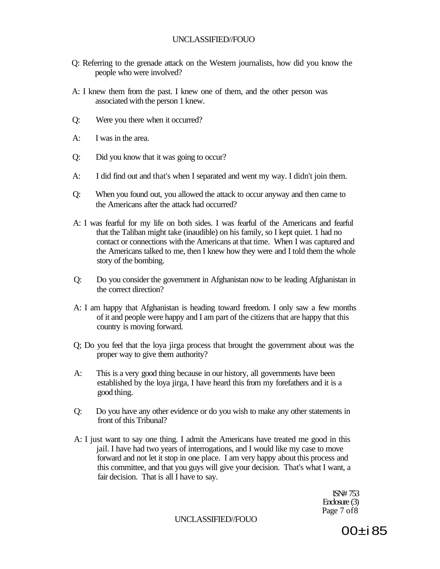- Q: Referring to the grenade attack on the Western journalists, how did you know the people who were involved?
- A: I knew them from the past. I knew one of them, and the other person was associated with the person 1 knew.
- Q: Were you there when it occurred?
- A: I was in the area.
- Q: Did you know that it was going to occur?
- A: I did find out and that's when I separated and went my way. I didn't join them.
- Q: When you found out, you allowed the attack to occur anyway and then came to the Americans after the attack had occurred?
- A: I was fearful for my life on both sides. I was fearful of the Americans and fearful that the Taliban might take (inaudible) on his family, so I kept quiet. 1 had no contact or connections with the Americans at that time. When I was captured and the Americans talked to me, then I knew how they were and I told them the whole story of the bombing.
- Q: Do you consider the government in Afghanistan now to be leading Afghanistan in the correct direction?
- A: I am happy that Afghanistan is heading toward freedom. I only saw a few months of it and people were happy and I am part of the citizens that are happy that this country is moving forward.
- Q; Do you feel that the loya jirga process that brought the government about was the proper way to give them authority?
- A: This is a very good thing because in our history, all governments have been established by the loya jirga, I have heard this from my forefathers and it is a good thing.
- Q: Do you have any other evidence or do you wish to make any other statements in front of this Tribunal?
- A: I just want to say one thing. I admit the Americans have treated me good in this jail. I have had two years of interrogations, and I would like my case to move forward and not let it stop in one place. I am very happy about this process and this committee, and that you guys will give your decision. That's what I want, a fair decision. That is all I have to say.

ISN# 753 Enclosure (3) Page 7 of8

UNCLASSIFIED//FOUO

00±i 85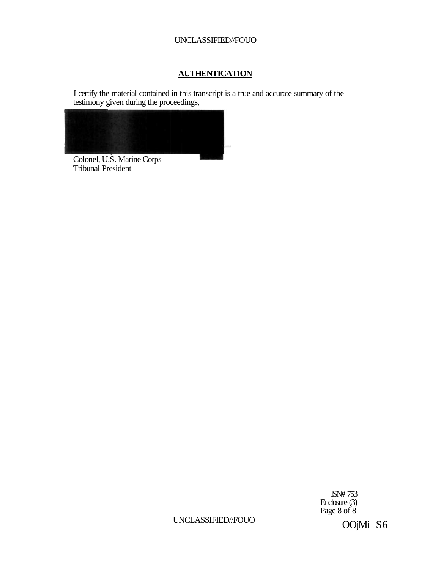# **AUTHENTICATION**

I certify the material contained in this transcript is a true and accurate summary of the testimony given during the proceedings,



Colonel, U.S. Marine Corps Tribunal President

> ISN# 753 Enclosure (3) Page 8 of 8

UNCLASSIFIED//FOUO

OOjMi S6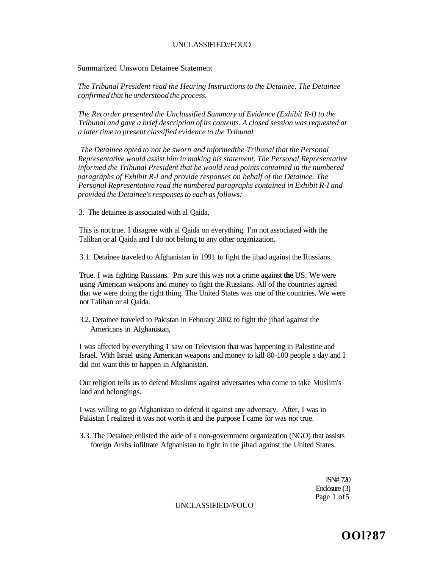#### Summarized Unsworn Detainee Statement

*The Tribunal President read the Hearing Instructions to the Detainee. The Detainee confirmed that he understood the process.* 

*The Recorder presented the Unclassified Summary of Evidence (Exhibit R-l) to the Tribunal and gave a brief description of its contents, A closed session was requested at a later time to present classified evidence to the Tribunal* 

*The Detainee opted to not be sworn and informedthe Tribunal that the Personal Representative would assist him in making his statement. The Personal Representative informed the Tribunal President that he would read points contained in the numbered paragraphs of Exhibit R-l and provide responses on behalf of the Detainee. The Personal Representative read the numbered paragraphs contained in Exhibit R-I and provided the Detainee's responses to each as follows:* 

3. The detainee is associated with al Qaida,

This is not true. I disagree with al Qaida on everything. I'm not associated with the Taliban or al Qaida and I do not belong to any other organization.

3.1. Detainee traveled to Afghanistan in 1991 to fight the jihad against the Russians.

True. I was fighting Russians. Pm sure this was not a crime against **the** US. We were using American weapons and money to fight the Russians. All of the countries agreed that we were doing the right thing. The United States was one of the countries. We were not Taliban or al Qaida.

3.2. Detainee traveled to Pakistan in February 2002 to fight the jihad against the Americans in Afghanistan,

I was affected by everything 1 saw on Television that was happening in Palestine and Israel. With Israel using American weapons and money to kill 80-100 people a day and I did not want this to happen in Afghanistan.

Our religion tells us to defend Muslims against adversaries who come to take Muslim's land and belongings.

I was willing to go Afghanistan to defend it against any adversary. After, I was in Pakistan I realized it was not worth it and the purpose I came for was not true.

3.3. The Detainee enlisted the aide of a non-government organization (NGO) that assists foreign Arabs infiltrate Afghanistan to fight in the jihad against the United States.

> ISN# 720 Enclosure (3) Page 1 of 5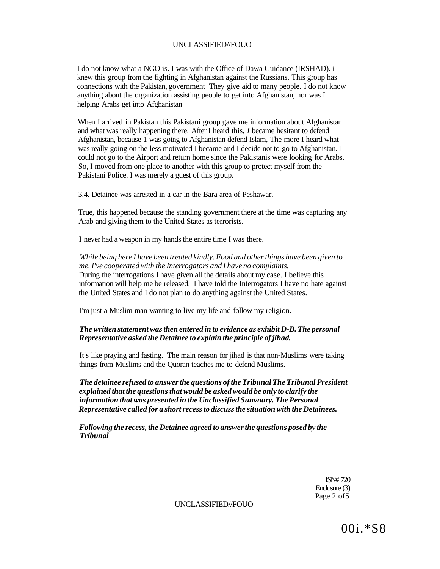I do not know what a NGO is. I was with the Office of Dawa Guidance (IRSHAD). i knew this group from the fighting in Afghanistan against the Russians. This group has connections with the Pakistan, government They give aid to many people. I do not know anything about the organization assisting people to get into Afghanistan, nor was I helping Arabs get into Afghanistan

When I arrived in Pakistan this Pakistani group gave me information about Afghanistan and what was really happening there. After I heard this, *I* became hesitant to defend Afghanistan, because 1 was going to Afghanistan defend Islam, The more I heard what was really going on the less motivated I became and I decide not to go to Afghanistan. I could not go to the Airport and return home since the Pakistanis were looking for Arabs. So, I moved from one place to another with this group to protect myself from the Pakistani Police. I was merely a guest of this group.

3.4. Detainee was arrested in a car in the Bara area of Peshawar.

True, this happened because the standing government there at the time was capturing any Arab and giving them to the United States as terrorists.

I never had a weapon in my hands the entire time I was there.

*While being here I have been treated kindly. Food and other things have been given to me. I've cooperated with the Interrogators and I have no complaints.*  During the interrogations I have given all the details about my case. I believe this information will help me be released. I have told the Interrogators I have no hate against the United States and I do not plan to do anything against the United States.

I'm just a Muslim man wanting to live my life and follow my religion.

#### *The written statement was then entered in to evidence as exhibit D-B. The personal Representative asked the Detainee to explain the principle of jihad,*

It's like praying and fasting. The main reason for jihad is that non-Muslims were taking things from Muslims and the Quoran teaches me to defend Muslims.

*The detainee refused to answer the questions of the Tribunal The Tribunal President explained that the questions that would be asked would be only to clarify the information that was presented in the Unclassified Sunvnary. The Personal Representative called for a short recess to discuss the situation with the Detainees.* 

*Following the recess, the Detainee agreed to answer the questions posed by the Tribunal* 

> ISN# 720 Enclosure (3) Page 2 of 5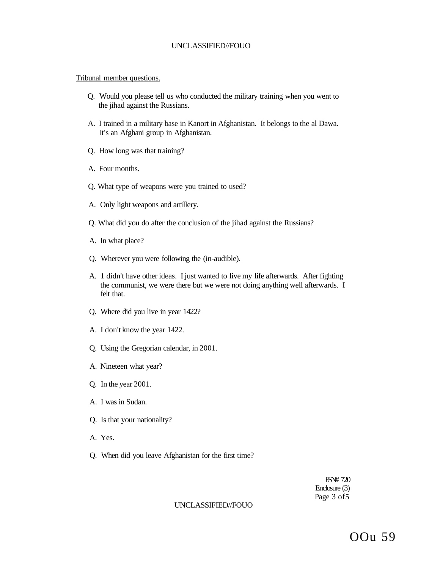#### Tribunal member questions.

- Q. Would you please tell us who conducted the military training when you went to the jihad against the Russians.
- A. I trained in a military base in Kanort in Afghanistan. It belongs to the al Dawa. It's an Afghani group in Afghanistan.
- Q. How long was that training?
- A. Four months.
- Q. What type of weapons were you trained to used?
- A. Only light weapons and artillery.
- Q. What did you do after the conclusion of the jihad against the Russians?
- A. In what place?
- Q. Wherever you were following the (in-audible).
- A. 1 didn't have other ideas. I just wanted to live my life afterwards. After fighting the communist, we were there but we were not doing anything well afterwards. I felt that.
- Q. Where did you live in year 1422?
- A. I don't know the year 1422.
- Q. Using the Gregorian calendar, in 2001.
- A. Nineteen what year?
- Q. In the year 2001.
- A. I was in Sudan.
- Q. Is that your nationality?
- A. Yes.
- Q. When did you leave Afghanistan for the first time?

FSN# 720 Enclosure (3) Page 3 of5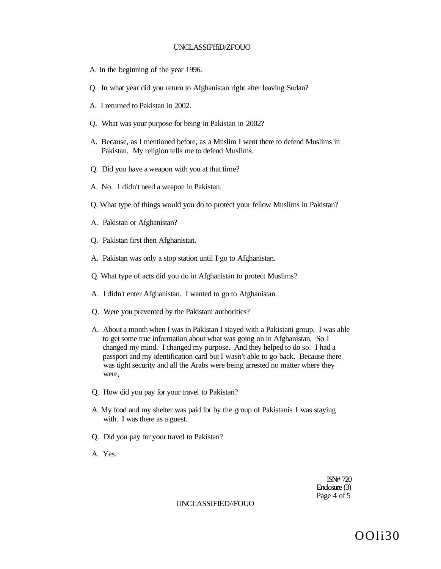#### UNCLASSIFffiD/ZFOUO

- A. In the beginning of the year 1996.
- Q. In what year did you return to Afghanistan right after leaving Sudan?
- A. I returned to Pakistan in 2002.
- Q. What was your purpose for being in Pakistan in 2002?
- A. Because, as I mentioned before, as a Muslim I went there to defend Muslims in Pakistan. My religion tells me to defend Muslims.
- Q. Did you have a weapon with you at that time?
- A. No. 1 didn't need a weapon in Pakistan.
- Q. What type of things would you do to protect your fellow Muslims in Pakistan?
- A. Pakistan or Afghanistan?
- Q. Pakistan first then Afghanistan.
- A. Pakistan was only a stop station until I go to Afghanistan.
- Q. What type of acts did you do in Afghanistan to protect Muslims?
- A. I didn't enter Afghanistan. I wanted to go to Afghanistan.
- Q. Were you prevented by the Pakistani authorities?
- A. About a month when I was in Pakistan I stayed with a Pakistani group. I was able to get some true information about what was going on in Afghanistan. So I changed my mind. I changed my purpose. And they helped to do so. I had a passport and my identification card but I wasn't able to go back. Because there was tight security and all the Arabs were being arrested no matter where they were,
- Q. How did you pay for your travel to Pakistan?
- A. My food and my shelter was paid for by the group of Pakistanis 1 was staying with. I was there as a guest.
- Q. Did you pay for your travel to Pakistan?
- A. Yes.

ISN# 720 Enclosure (3) Page 4 of 5

#### UNCLASSIFIED//FOUO

OOli30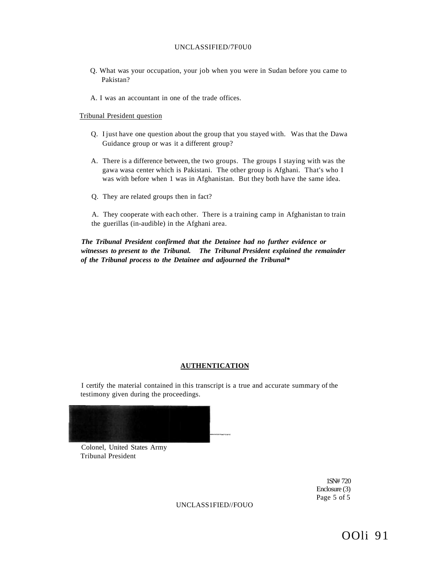#### UNCLASSIFIED/7F0U0

- Q. What was your occupation, your job when you were in Sudan before you came to Pakistan?
- A. I was an accountant in one of the trade offices.

#### Tribunal President question

- Q. I just have one question about the group that you stayed with. Was that the Dawa Guidance group or was it a different group?
- A. There is a difference between, the two groups. The groups I staying with was the gawa wasa center which is Pakistani. The other group is Afghani. That's who I was with before when 1 was in Afghanistan. But they both have the same idea.
- Q. They are related groups then in fact?

A. They cooperate with each other. There is a training camp in Afghanistan to train the guerillas (in-audible) in the Afghani area.

*The Tribunal President confirmed that the Detainee had no further evidence or witnesses to present to the Tribunal. The Tribunal President explained the remainder of the Tribunal process to the Detainee and adjourned the Tribunal\** 

#### **AUTHENTICATION**

I certify the material contained in this transcript is a true and accurate summary of the testimony given during the proceedings.



Colonel, United States Army Tribunal President

> 1SN# 720 Enclosure (3) Page 5 of 5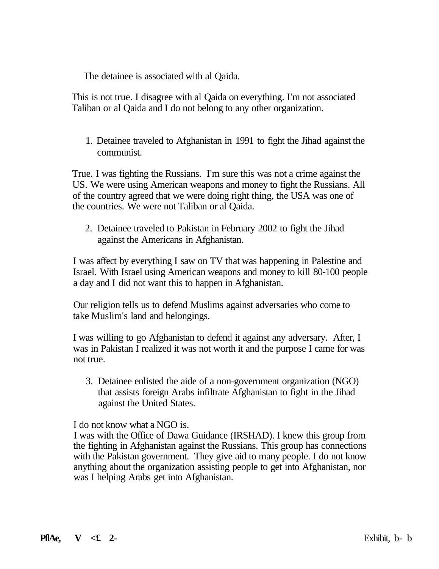The detainee is associated with al Qaida.

This is not true. I disagree with al Qaida on everything. I'm not associated Taliban or al Qaida and I do not belong to any other organization.

1. Detainee traveled to Afghanistan in 1991 to fight the Jihad against the communist.

True. I was fighting the Russians. I'm sure this was not a crime against the US. We were using American weapons and money to fight the Russians. All of the country agreed that we were doing right thing, the USA was one of the countries. We were not Taliban or al Qaida.

2. Detainee traveled to Pakistan in February 2002 to fight the Jihad against the Americans in Afghanistan.

I was affect by everything I saw on TV that was happening in Palestine and Israel. With Israel using American weapons and money to kill 80-100 people a day and I did not want this to happen in Afghanistan.

Our religion tells us to defend Muslims against adversaries who come to take Muslim's land and belongings.

I was willing to go Afghanistan to defend it against any adversary. After, I was in Pakistan I realized it was not worth it and the purpose I came for was not true.

3. Detainee enlisted the aide of a non-government organization (NGO) that assists foreign Arabs infiltrate Afghanistan to fight in the Jihad against the United States.

I do not know what a NGO is.

I was with the Office of Dawa Guidance (IRSHAD). I knew this group from the fighting in Afghanistan against the Russians. This group has connections with the Pakistan government. They give aid to many people. I do not know anything about the organization assisting people to get into Afghanistan, nor was I helping Arabs get into Afghanistan.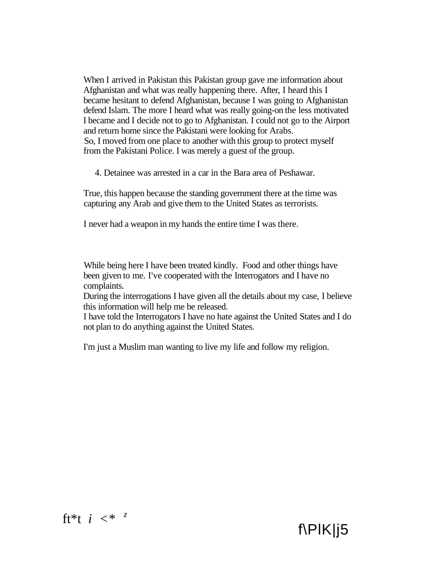When I arrived in Pakistan this Pakistan group gave me information about Afghanistan and what was really happening there. After, I heard this I became hesitant to defend Afghanistan, because I was going to Afghanistan defend Islam. The more I heard what was really going-on the less motivated I became and I decide not to go to Afghanistan. I could not go to the Airport and return home since the Pakistani were looking for Arabs. So, I moved from one place to another with this group to protect myself from the Pakistani Police. I was merely a guest of the group.

4. Detainee was arrested in a car in the Bara area of Peshawar.

True, this happen because the standing government there at the time was capturing any Arab and give them to the United States as terrorists.

I never had a weapon in my hands the entire time I was there.

While being here I have been treated kindly. Food and other things have been given to me. I've cooperated with the Interrogators and I have no complaints.

During the interrogations I have given all the details about my case, I believe this information will help me be released.

I have told the Interrogators I have no hate against the United States and I do not plan to do anything against the United States.

f\PlK|j5

I'm just a Muslim man wanting to live my life and follow my religion.

# ft\*t *i <\* <sup>z</sup>*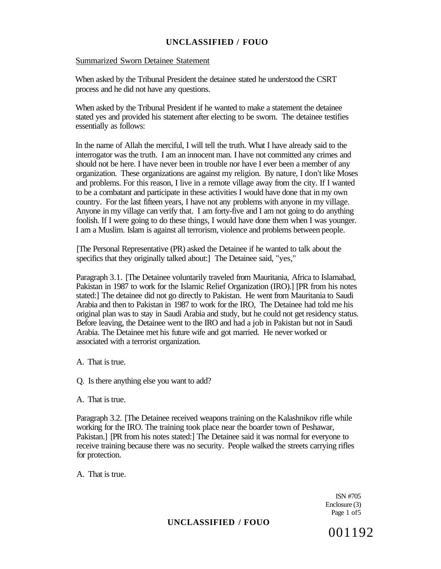#### Summarized Sworn Detainee Statement

When asked by the Tribunal President the detainee stated he understood the CSRT process and he did not have any questions.

When asked by the Tribunal President if he wanted to make a statement the detainee stated yes and provided his statement after electing to be sworn. The detainee testifies essentially as follows:

In the name of Allah the merciful, I will tell the truth. What I have already said to the interrogator was the truth. I am an innocent man. I have not committed any crimes and should not be here. I have never been in trouble nor have I ever been a member of any organization. These organizations are against my religion. By nature, I don't like Moses and problems. For this reason, I live in a remote village away from the city. If I wanted to be a combatant and participate in these activities I would have done that in my own country. For the last fifteen years, I have not any problems with anyone in my village. Anyone in my village can verify that. I am forty-five and I am not going to do anything foolish. If I were going to do these things, I would have done them when I was younger. I am a Muslim. Islam is against all terrorism, violence and problems between people.

[The Personal Representative (PR) asked the Detainee if he wanted to talk about the specifics that they originally talked about:] The Detainee said, "yes,"

Paragraph 3.1. [The Detainee voluntarily traveled from Mauritania, Africa to Islamabad, Pakistan in 1987 to work for the Islamic Relief Organization (IRO).] [PR from his notes stated:] The detainee did not go directly to Pakistan. He went from Mauritania to Saudi Arabia and then to Pakistan in 1987 to work for the IRO, The Detainee had told me his original plan was to stay in Saudi Arabia and study, but he could not get residency status. Before leaving, the Detainee went to the IRO and had a job in Pakistan but not in Saudi Arabia. The Detainee met his future wife and got married. He never worked or associated with a terrorist organization.

- A. That is true.
- Q. Is there anything else you want to add?
- A. That is true.

Paragraph 3.2. [The Detainee received weapons training on the Kalashnikov rifle while working for the IRO. The training took place near the boarder town of Peshawar, Pakistan.] [PR from his notes stated:] The Detainee said it was normal for everyone to receive training because there was no security. People walked the streets carrying rifles for protection.

A. That is true.

ISN #705 Enclosure (3) Page 1 of5

# **UNCLASSIFIED / FOUO**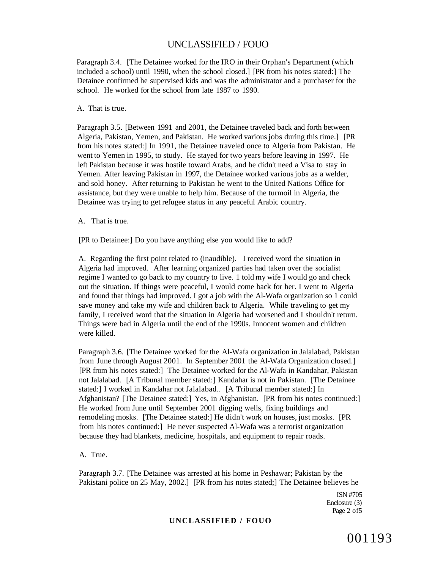Paragraph 3.4. [The Detainee worked for the IRO in their Orphan's Department (which included a school) until 1990, when the school closed.] [PR from his notes stated:] The Detainee confirmed he supervised kids and was the administrator and a purchaser for the school. He worked for the school from late 1987 to 1990.

A. That is true.

Paragraph 3.5. [Between 1991 and 2001, the Detainee traveled back and forth between Algeria, Pakistan, Yemen, and Pakistan. He worked various jobs during this time.] [PR from his notes stated:] In 1991, the Detainee traveled once to Algeria from Pakistan. He went to Yemen in 1995, to study. He stayed for two years before leaving in 1997. He left Pakistan because it was hostile toward Arabs, and he didn't need a Visa to stay in Yemen. After leaving Pakistan in 1997, the Detainee worked various jobs as a welder, and sold honey. After returning to Pakistan he went to the United Nations Office for assistance, but they were unable to help him. Because of the turmoil in Algeria, the Detainee was trying to get refugee status in any peaceful Arabic country.

A. That is true.

[PR to Detainee:] Do you have anything else you would like to add?

A. Regarding the first point related to (inaudible). I received word the situation in Algeria had improved. After learning organized parties had taken over the socialist regime I wanted to go back to my country to live. 1 told my wife I would go and check out the situation. If things were peaceful, I would come back for her. I went to Algeria and found that things had improved. I got a job with the Al-Wafa organization so 1 could save money and take my wife and children back to Algeria. While traveling to get my family, I received word that the situation in Algeria had worsened and I shouldn't return. Things were bad in Algeria until the end of the 1990s. Innocent women and children were killed.

Paragraph 3.6. [The Detainee worked for the Al-Wafa organization in Jalalabad, Pakistan from June through August 2001. In September 2001 the Al-Wafa Organization closed.] [PR from his notes stated:] The Detainee worked for the Al-Wafa in Kandahar, Pakistan not Jalalabad. [A Tribunal member stated:] Kandahar is not in Pakistan. [The Detainee stated:] I worked in Kandahar not Jalalabad.. [A Tribunal member stated:] In Afghanistan? [The Detainee stated:] Yes, in Afghanistan. [PR from his notes continued:] He worked from June until September 2001 digging wells, fixing buildings and remodeling mosks. [The Detainee stated:] He didn't work on houses, just mosks. [PR from his notes continued:] He never suspected Al-Wafa was a terrorist organization because they had blankets, medicine, hospitals, and equipment to repair roads.

A. True.

Paragraph 3.7. [The Detainee was arrested at his home in Peshawar; Pakistan by the Pakistani police on 25 May, 2002.] [PR from his notes stated;] The Detainee believes he

> ISN #705 Enclosure (3) Page 2 of5

#### **UNCLASSIFIED / FOUO**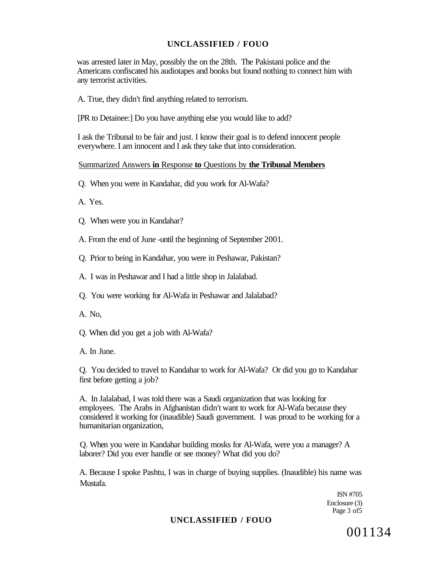was arrested later in May, possibly the on the 28th. The Pakistani police and the Americans confiscated his audiotapes and books but found nothing to connect him with any terrorist activities.

A. True, they didn't find anything related to terrorism.

[PR to Detainee:] Do you have anything else you would like to add?

I ask the Tribunal to be fair and just. I know their goal is to defend innocent people everywhere. I am innocent and I ask they take that into consideration.

#### Summarized Answers **in** Response **to** Questions by **the Tribunal Members**

Q. When you were in Kandahar, did you work for Al-Wafa?

A. Yes.

Q. When were you in Kandahar?

A. From the end of June -until the beginning of September 2001.

Q. Prior to being in Kandahar, you were in Peshawar, Pakistan?

A. I was in Peshawar and I had a little shop in Jalalabad.

Q. You were working for Al-Wafa in Peshawar and Jalalabad?

A. No,

Q. When did you get a job with Al-Wafa?

A. In June.

Q. You decided to travel to Kandahar to work for Al-Wafa? Or did you go to Kandahar first before getting a job?

A. In Jalalabad, I was told there was a Saudi organization that was looking for employees. The Arabs in Afghanistan didn't want to work for Al-Wafa because they considered it working for (inaudible) Saudi government. I was proud to be working for a humanitarian organization,

Q. When you were in Kandahar building mosks for Al-Wafa, were you a manager? A laborer? Did you ever handle or see money? What did you do?

A. Because I spoke Pashtu, I was in charge of buying supplies. (Inaudible) his name was Mustafa.

> ISN #705 Enclosure (3) Page 3 of 5

### **UNCLASSIFIED / FOUO**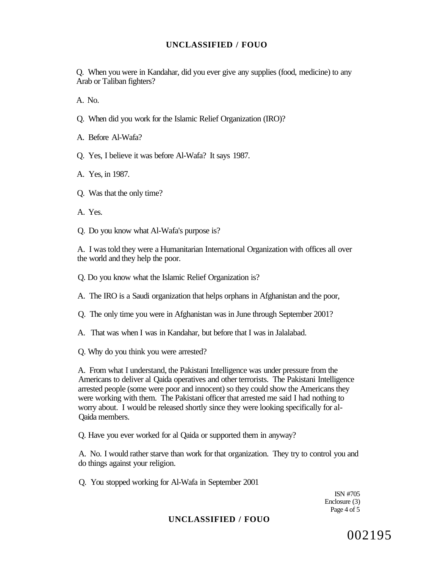Q. When you were in Kandahar, did you ever give any supplies (food, medicine) to any Arab or Taliban fighters?

A. No.

Q. When did you work for the Islamic Relief Organization (IRO)?

A. Before Al-Wafa?

Q. Yes, I believe it was before Al-Wafa? It says 1987.

A. Yes, in 1987.

Q. Was that the only time?

A. Yes.

Q. Do you know what Al-Wafa's purpose is?

A. I was told they were a Humanitarian International Organization with offices all over the world and they help the poor.

Q. Do you know what the Islamic Relief Organization is?

A. The IRO is a Saudi organization that helps orphans in Afghanistan and the poor,

Q. The only time you were in Afghanistan was in June through September 2001?

A. That was when I was in Kandahar, but before that I was in Jalalabad.

Q. Why do you think you were arrested?

A. From what I understand, the Pakistani Intelligence was under pressure from the Americans to deliver al Qaida operatives and other terrorists. The Pakistani Intelligence arrested people (some were poor and innocent) so they could show the Americans they were working with them. The Pakistani officer that arrested me said I had nothing to worry about. I would be released shortly since they were looking specifically for al-Qaida members.

Q. Have you ever worked for al Qaida or supported them in anyway?

A. No. I would rather starve than work for that organization. They try to control you and do things against your religion.

Q. You stopped working for Al-Wafa in September 2001

ISN #705 Enclosure (3) Page 4 of 5

# **UNCLASSIFIED / FOUO**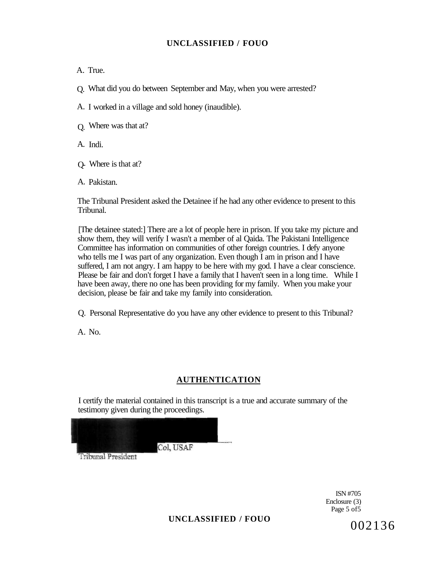A. True.

Q. What did you do between September and May, when you were arrested?

A. I worked in a village and sold honey (inaudible).

Q. Where was that at?

A. Indi.

Q- Where is that at?

A. Pakistan.

The Tribunal President asked the Detainee if he had any other evidence to present to this Tribunal.

[The detainee stated:] There are a lot of people here in prison. If you take my picture and show them, they will verify I wasn't a member of al Qaida. The Pakistani Intelligence Committee has information on communities of other foreign countries. I defy anyone who tells me I was part of any organization. Even though I am in prison and I have suffered, I am not angry. I am happy to be here with my god. I have a clear conscience. Please be fair and don't forget I have a family that I haven't seen in a long time. While I have been away, there no one has been providing for my family. When you make your decision, please be fair and take my family into consideration.

Q. Personal Representative do you have any other evidence to present to this Tribunal?

A. No.

# **AUTHENTICATION**

I certify the material contained in this transcript is a true and accurate summary of the testimony given during the proceedings.

Col. USAF

Tribunal President

ISN #705 Enclosure (3) Page 5 of5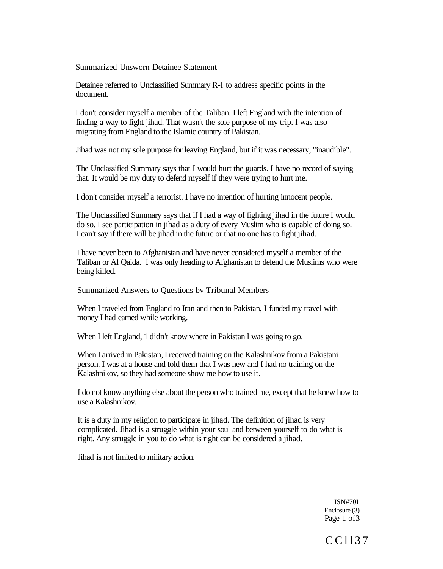#### Summarized Unsworn Detainee Statement

Detainee referred to Unclassified Summary R-l to address specific points in the document.

I don't consider myself a member of the Taliban. I left England with the intention of finding a way to fight jihad. That wasn't the sole purpose of my trip. I was also migrating from England to the Islamic country of Pakistan.

Jihad was not my sole purpose for leaving England, but if it was necessary, "inaudible".

The Unclassified Summary says that I would hurt the guards. I have no record of saying that. It would be my duty to defend myself if they were trying to hurt me.

I don't consider myself a terrorist. I have no intention of hurting innocent people.

The Unclassified Summary says that if I had a way of fighting jihad in the future I would do so. I see participation in jihad as a duty of every Muslim who is capable of doing so. I can't say if there will be jihad in the future or that no one has to fight jihad.

I have never been to Afghanistan and have never considered myself a member of the Taliban or Al Qaida. I was only heading to Afghanistan to defend the Muslims who were being killed.

#### Summarized Answers to Questions bv Tribunal Members

When I traveled from England to Iran and then to Pakistan, I funded my travel with money I had earned while working.

When I left England, 1 didn't know where in Pakistan I was going to go.

When I arrived in Pakistan, I received training on the Kalashnikov from a Pakistani person. I was at a house and told them that I was new and I had no training on the Kalashnikov, so they had someone show me how to use it.

I do not know anything else about the person who trained me, except that he knew how to use a Kalashnikov.

It is a duty in my religion to participate in jihad. The definition of jihad is very complicated. Jihad is a struggle within your soul and between yourself to do what is right. Any struggle in you to do what is right can be considered a jihad.

Jihad is not limited to military action.

ISN#70I Enclosure (3) Page 1 of 3

# CCll3 7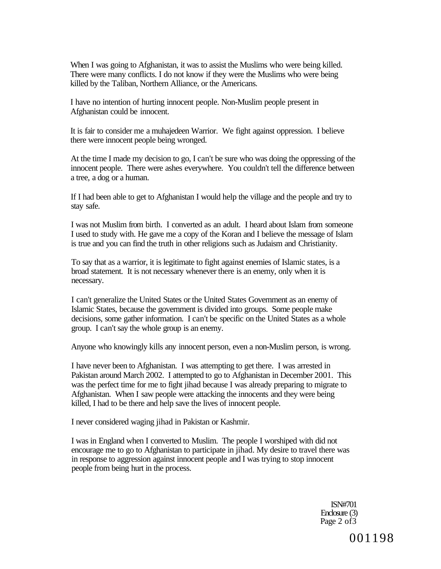When I was going to Afghanistan, it was to assist the Muslims who were being killed. There were many conflicts. I do not know if they were the Muslims who were being killed by the Taliban, Northern Alliance, or the Americans.

I have no intention of hurting innocent people. Non-Muslim people present in Afghanistan could be innocent.

It is fair to consider me a muhajedeen Warrior. We fight against oppression. I believe there were innocent people being wronged.

At the time I made my decision to go, I can't be sure who was doing the oppressing of the innocent people. There were ashes everywhere. You couldn't tell the difference between a tree, a dog or a human.

If I had been able to get to Afghanistan I would help the village and the people and try to stay safe.

I was not Muslim from birth. I converted as an adult. I heard about Islam from someone I used to study with. He gave me a copy of the Koran and I believe the message of Islam is true and you can find the truth in other religions such as Judaism and Christianity.

To say that as a warrior, it is legitimate to fight against enemies of Islamic states, is a broad statement. It is not necessary whenever there is an enemy, only when it is necessary.

I can't generalize the United States or the United States Government as an enemy of Islamic States, because the government is divided into groups. Some people make decisions, some gather information. I can't be specific on the United States as a whole group. I can't say the whole group is an enemy.

Anyone who knowingly kills any innocent person, even a non-Muslim person, is wrong.

I have never been to Afghanistan. I was attempting to get there. I was arrested in Pakistan around March 2002. I attempted to go to Afghanistan in December 2001. This was the perfect time for me to fight jihad because I was already preparing to migrate to Afghanistan. When I saw people were attacking the innocents and they were being killed, I had to be there and help save the lives of innocent people.

I never considered waging jihad in Pakistan or Kashmir.

I was in England when I converted to Muslim. The people I worshiped with did not encourage me to go to Afghanistan to participate in jihad. My desire to travel there was in response to aggression against innocent people and I was trying to stop innocent people from being hurt in the process.

> ISN#701 Enclosure (3) Page 2 of 3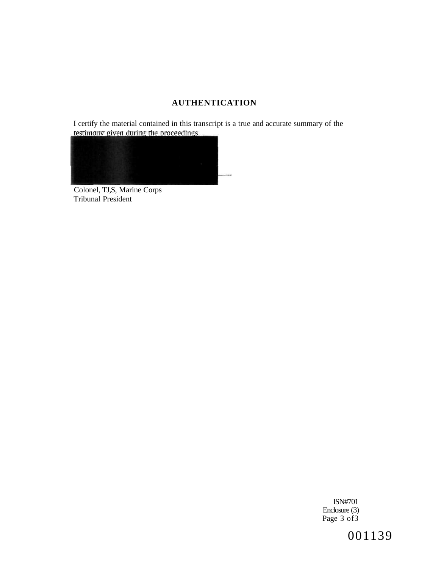# **AUTHENTICATION**

I certify the material contained in this transcript is a true and accurate summary of the testimony given during the proceedings.



Colonel, TJ,S, Marine Corps Tribunal President

> ISN#701 Enclosure (3) Page 3 of 3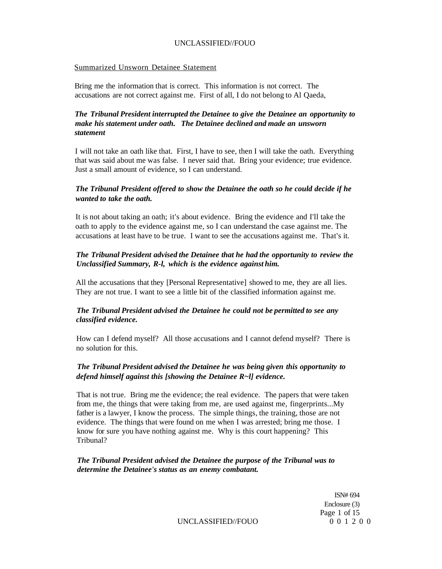#### Summarized Unsworn Detainee Statement

Bring me the information that is correct. This information is not correct. The accusations are not correct against me. First of all, I do not belong to Al Qaeda,

# *The Tribunal President interrupted the Detainee to give the Detainee an opportunity to make his statement under oath. The Detainee declined and made an unsworn statement*

I will not take an oath like that. First, I have to see, then I will take the oath. Everything that was said about me was false. I never said that. Bring your evidence; true evidence. Just a small amount of evidence, so I can understand.

# *The Tribunal President offered to show the Detainee the oath so he could decide if he wanted to take the oath.*

It is not about taking an oath; it's about evidence. Bring the evidence and I'll take the oath to apply to the evidence against me, so I can understand the case against me. The accusations at least have to be true. I want to see the accusations against me. That's it.

# *The Tribunal President advised the Detainee that he had the opportunity to review the Unclassified Summary, R-l, which is the evidence against him.*

All the accusations that they [Personal Representative] showed to me, they are all lies. They are not true. I want to see a little bit of the classified information against me.

# *The Tribunal President advised the Detainee he could not be permitted to see any classified evidence.*

How can I defend myself? All those accusations and I cannot defend myself? There is no solution for this.

# *The Tribunal President advised the Detainee he was being given this opportunity to defend himself against this [showing the Detainee R~l] evidence.*

That is not true. Bring me the evidence; the real evidence. The papers that were taken from me, the things that were taking from me, are used against me, fingerprints...My father is a lawyer, I know the process. The simple things, the training, those are not evidence. The things that were found on me when I was arrested; bring me those. I know for sure you have nothing against me. Why is this court happening? This Tribunal?

#### *The Tribunal President advised the Detainee the purpose of the Tribunal was to determine the Detainee's status as an enemy combatant.*

ISN# 694 Enclosure (3) Page 1 of 15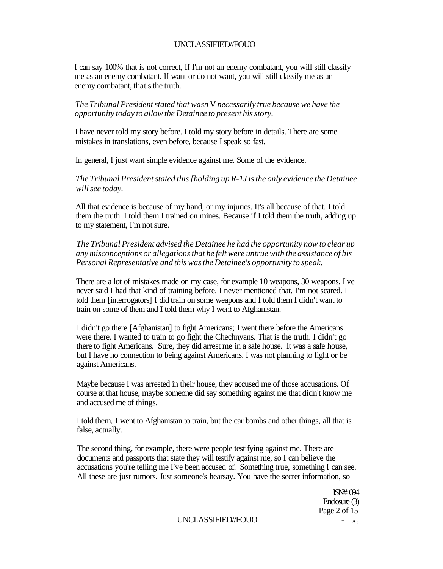I can say 100% that is not correct, If I'm not an enemy combatant, you will still classify me as an enemy combatant. If want or do not want, you will still classify me as an enemy combatant, that's the truth.

*The Tribunal President stated that wasn* V *necessarily true because we have the opportunity today to allow the Detainee to present his story.* 

I have never told my story before. I told my story before in details. There are some mistakes in translations, even before, because I speak so fast.

In general, I just want simple evidence against me. Some of the evidence.

*The Tribunal President stated this [holding up R-1J is the only evidence the Detainee will see today.* 

All that evidence is because of my hand, or my injuries. It's all because of that. I told them the truth. I told them I trained on mines. Because if I told them the truth, adding up to my statement, I'm not sure.

*The Tribunal President advised the Detainee he had the opportunity now to clear up any misconceptions or allegations that he felt were untrue with the assistance of his Personal Representative and this was the Detainee's opportunity to speak.* 

There are a lot of mistakes made on my case, for example 10 weapons, 30 weapons. I've never said I had that kind of training before. I never mentioned that. I'm not scared. I told them [interrogators] I did train on some weapons and I told them I didn't want to train on some of them and I told them why I went to Afghanistan.

I didn't go there [Afghanistan] to fight Americans; I went there before the Americans were there. I wanted to train to go fight the Chechnyans. That is the truth. I didn't go there to fight Americans. Sure, they did arrest me in a safe house. It was a safe house, but I have no connection to being against Americans. I was not planning to fight or be against Americans.

Maybe because I was arrested in their house, they accused me of those accusations. Of course at that house, maybe someone did say something against me that didn't know me and accused me of things.

I told them, I went to Afghanistan to train, but the car bombs and other things, all that is false, actually.

The second thing, for example, there were people testifying against me. There are documents and passports that state they will testify against me, so I can believe the accusations you're telling me I've been accused of. Something true, something I can see. All these are just rumors. Just someone's hearsay. You have the secret information, so

> ISN# 694 Enclosure (3) Page 2 of 15

UNCLASSIFIED//FOUO - A,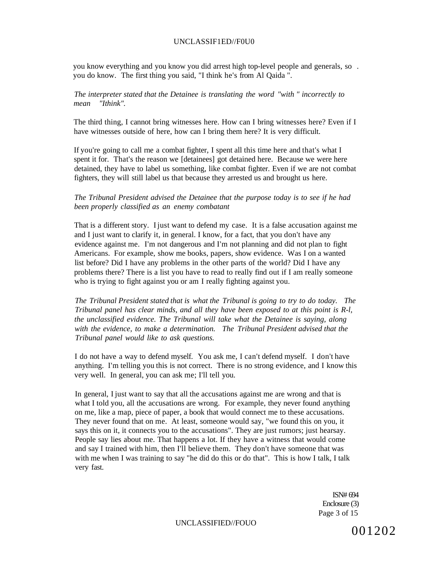#### UNCLASSIF1ED//F0U0

you know everything and you know you did arrest high top-level people and generals, so . you do know. The first thing you said, "I think he's from Al Qaida ".

#### *The interpreter stated that the Detainee is translating the word "with " incorrectly to mean "Ithink".*

The third thing, I cannot bring witnesses here. How can I bring witnesses here? Even if I have witnesses outside of here, how can I bring them here? It is very difficult.

If you're going to call rne a combat fighter, I spent all this time here and that's what I spent it for. That's the reason we [detainees] got detained here. Because we were here detained, they have to label us something, like combat fighter. Even if we are not combat fighters, they will still label us that because they arrested us and brought us here.

### *The Tribunal President advised the Detainee that the purpose today is to see if he had been properly classified as an enemy combatant*

That is a different story. I just want to defend my case. It is a false accusation against me and I just want to clarify it, in general. I know, for a fact, that you don't have any evidence against me. I'm not dangerous and I'm not planning and did not plan to fight Americans. For example, show me books, papers, show evidence. Was I on a wanted list before? Did I have any problems in the other parts of the world? Did I have any problems there? There is a list you have to read to really find out if I am really someone who is trying to fight against you or am I really fighting against you.

*The Tribunal President stated that is what the Tribunal is going to try to do today. The Tribunal panel has clear minds, and all they have been exposed to at this point is R-l, the unclassified evidence. The Tribunal will take what the Detainee is saying, along with the evidence, to make a determination. The Tribunal President advised that the Tribunal panel would like to ask questions.* 

I do not have a way to defend myself. You ask me, I can't defend myself. I don't have anything. I'm telling you this is not correct. There is no strong evidence, and I know this very well. In general, you can ask me; I'll tell you.

In general, I just want to say that all the accusations against me are wrong and that is what I told you, all the accusations are wrong. For example, they never found anything on me, like a map, piece of paper, a book that would connect me to these accusations. They never found that on me. At least, someone would say, "we found this on you, it says this on it, it connects you to the accusations". They are just rumors; just hearsay. People say lies about me. That happens a lot. If they have a witness that would come and say I trained with him, then I'll believe them. They don't have someone that was with me when I was training to say "he did do this or do that". This is how I talk, I talk very fast.

> ISN# 694 Enclosure (3) Page 3 of 15

UNCLASSIFIED//FOUO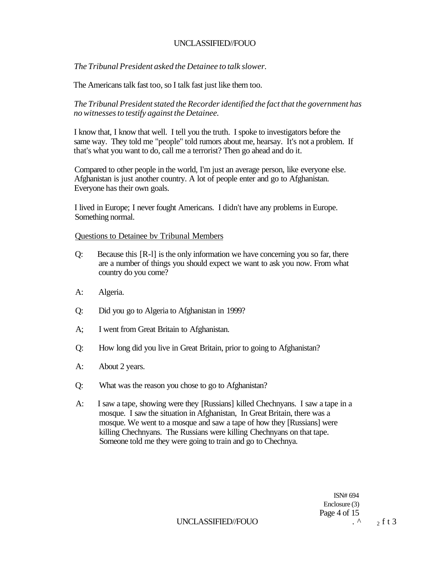*The Tribunal President asked the Detainee to talk slower.* 

The Americans talk fast too, so I talk fast just like them too.

*The Tribunal President stated the Recorder identified the fact that the government has no witnesses to testify against the Detainee.* 

I know that, I know that well. I tell you the truth. I spoke to investigators before the same way. They told me "people" told rumors about me, hearsay. It's not a problem. If that's what you want to do, call me a terrorist? Then go ahead and do it.

Compared to other people in the world, I'm just an average person, like everyone else. Afghanistan is just another country. A lot of people enter and go to Afghanistan. Everyone has their own goals.

I lived in Europe; I never fought Americans. I didn't have any problems in Europe. Something normal.

Questions to Detainee bv Tribunal Members

- Q: Because this [R-l] is the only information we have concerning you so far, there are a number of things you should expect we want to ask you now. From what country do you come?
- A: Algeria.
- Q: Did you go to Algeria to Afghanistan in 1999?
- A; I went from Great Britain to Afghanistan.
- Q: How long did you live in Great Britain, prior to going to Afghanistan?
- A: About 2 years.
- Q: What was the reason you chose to go to Afghanistan?
- A: I saw a tape, showing were they [Russians] killed Chechnyans. I saw a tape in a mosque. I saw the situation in Afghanistan, In Great Britain, there was a mosque. We went to a mosque and saw a tape of how they [Russians] were killing Chechnyans. The Russians were killing Chechnyans on that tape. Someone told me they were going to train and go to Chechnya.

ISN# 694 Enclosure (3) Page 4 of 15

UNCLASSIFIED//FOUO  $\qquad \qquad$   $\qquad \qquad$   $\qquad$   $\qquad$   $\qquad$   $\qquad$   $\qquad$   $\qquad$   $\qquad$   $\qquad$   $\qquad$   $\qquad$   $\qquad$   $\qquad$   $\qquad$   $\qquad$   $\qquad$   $\qquad$   $\qquad$   $\qquad$   $\qquad$   $\qquad$   $\qquad$   $\qquad$   $\qquad$   $\qquad$   $\qquad$   $\qquad$   $\qquad$   $\qquad$   $\qquad$   $\qquad$   $\qquad$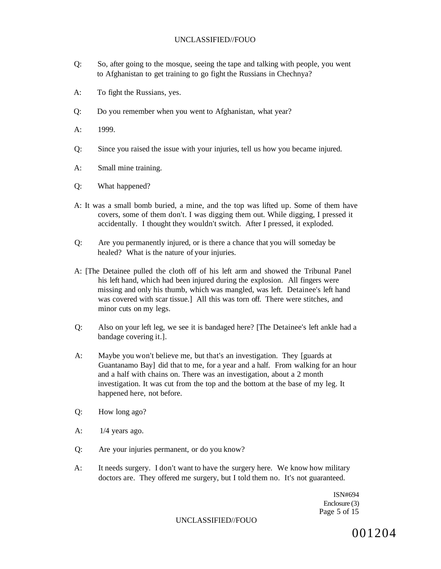- Q: So, after going to the mosque, seeing the tape and talking with people, you went to Afghanistan to get training to go fight the Russians in Chechnya?
- A: To fight the Russians, yes.
- Q: Do you remember when you went to Afghanistan, what year?
- A: 1999.
- Q: Since you raised the issue with your injuries, tell us how you became injured.
- A: Small mine training.
- Q: What happened?
- A: It was a small bomb buried, a mine, and the top was lifted up. Some of them have covers, some of them don't. I was digging them out. While digging, I pressed it accidentally. I thought they wouldn't switch. After I pressed, it exploded.
- Q: Are you permanently injured, or is there a chance that you will someday be healed? What is the nature of your injuries.
- A: [The Detainee pulled the cloth off of his left arm and showed the Tribunal Panel his left hand, which had been injured during the explosion. All fingers were missing and only his thumb, which was mangled, was left. Detainee's left hand was covered with scar tissue.] All this was torn off. There were stitches, and minor cuts on my legs.
- Q: Also on your left leg, we see it is bandaged here? [The Detainee's left ankle had a bandage covering it.].
- A: Maybe you won't believe me, but that's an investigation. They [guards at Guantanamo Bay] did that to me, for a year and a half. From walking for an hour and a half with chains on. There was an investigation, about a 2 month investigation. It was cut from the top and the bottom at the base of my leg. It happened here, not before.
- Q: How long ago?
- A:  $1/4$  years ago.
- Q: Are your injuries permanent, or do you know?
- A: It needs surgery. I don't want to have the surgery here. We know how military doctors are. They offered me surgery, but I told them no. It's not guaranteed.

ISN#694 Enclosure (3) Page 5 of 15

#### UNCLASSIFIED//FOUO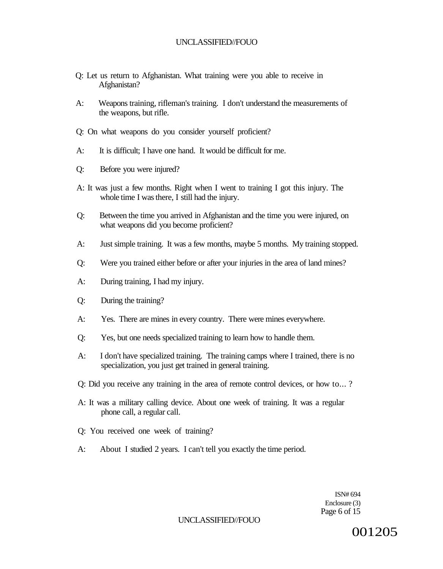- Q: Let us return to Afghanistan. What training were you able to receive in Afghanistan?
- A: Weapons training, rifleman's training. I don't understand the measurements of the weapons, but rifle.
- Q: On what weapons do you consider yourself proficient?
- A: It is difficult; I have one hand. It would be difficult for me.
- Q: Before you were injured?
- A: It was just a few months. Right when I went to training I got this injury. The whole time I was there, I still had the injury.
- Q: Between the time you arrived in Afghanistan and the time you were injured, on what weapons did you become proficient?
- A: Just simple training. It was a few months, maybe 5 months. My training stopped.
- Q: Were you trained either before or after your injuries in the area of land mines?
- A: During training, I had my injury.
- Q: During the training?
- A: Yes. There are mines in every country. There were mines everywhere.
- Q: Yes, but one needs specialized training to learn how to handle them.
- A: I don't have specialized training. The training camps where I trained, there is no specialization, you just get trained in general training.
- Q: Did you receive any training in the area of remote control devices, or how to... ?
- A: It was a military calling device. About one week of training. It was a regular phone call, a regular call.
- Q: You received one week of training?
- A: About I studied 2 years. I can't tell you exactly the time period.

ISN# 694 Enclosure (3) Page 6 of 15

UNCLASSIFIED//FOUO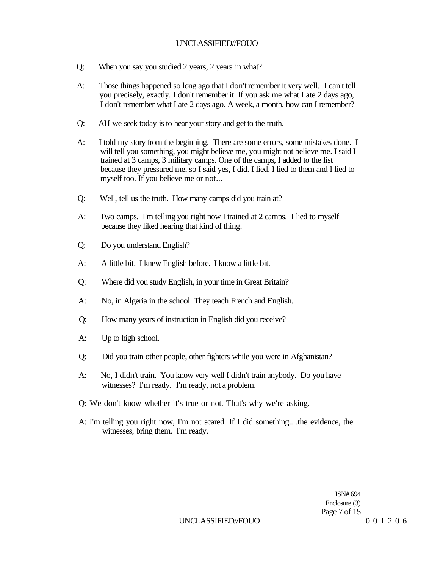- Q: When you say you studied 2 years, 2 years in what?
- A: Those things happened so long ago that I don't remember it very well. I can't tell you precisely, exactly. I don't remember it. If you ask me what I ate 2 days ago, I don't remember what I ate 2 days ago. A week, a month, how can I remember?
- Q: AH we seek today is to hear your story and get to the truth.
- A: I told my story from the beginning. There are some errors, some mistakes done. I will tell you something, you might believe me, you might not believe me. I said I trained at 3 camps, 3 military camps. One of the camps, I added to the list because they pressured me, so I said yes, I did. I lied. I lied to them and I lied to myself too. If you believe me or not...
- Q: Well, tell us the truth. How many camps did you train at?
- A: Two camps. I'm telling you right now I trained at 2 camps. I lied to myself because they liked hearing that kind of thing.
- Q: Do you understand English?
- A: A little bit. I knew English before. I know a little bit.
- Q: Where did you study English, in your time in Great Britain?
- A: No, in Algeria in the school. They teach French and English.
- Q: How many years of instruction in English did you receive?
- A: Up to high school.
- Q: Did you train other people, other fighters while you were in Afghanistan?
- A: No, I didn't train. You know very well I didn't train anybody. Do you have witnesses? I'm ready. I'm ready, not a problem.
- Q: We don't know whether it's true or not. That's why we're asking.
- A: I'm telling you right now, I'm not scared. If I did something.. .the evidence, the witnesses, bring them. I'm ready.

ISN# 694 Enclosure (3) Page 7 of 15 UNCLASSIFIED//FOUO 001206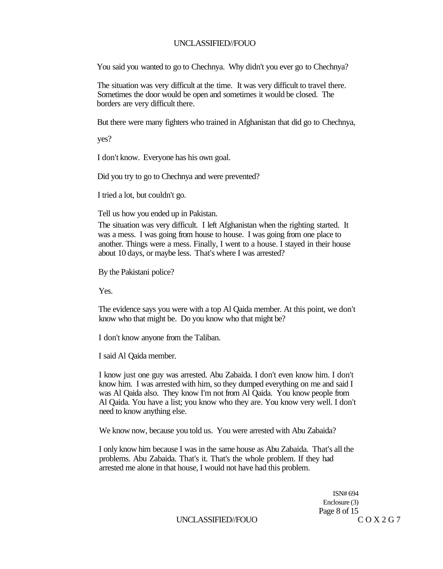You said you wanted to go to Chechnya. Why didn't you ever go to Chechnya?

The situation was very difficult at the time. It was very difficult to travel there. Sometimes the door would be open and sometimes it would be closed. The borders are very difficult there.

But there were many fighters who trained in Afghanistan that did go to Chechnya,

yes?

I don't know. Everyone has his own goal.

Did you try to go to Chechnya and were prevented?

I tried a lot, but couldn't go.

Tell us how you ended up in Pakistan.

The situation was very difficult. I left Afghanistan when the righting started. It was a mess. I was going from house to house. I was going from one place to another. Things were a mess. Finally, I went to a house. I stayed in their house about 10 days, or maybe less. That's where I was arrested?

By the Pakistani police?

Yes.

The evidence says you were with a top Al Qaida member. At this point, we don't know who that might be. Do you know who that might be?

I don't know anyone from the Taliban.

I said Al Qaida member.

I know just one guy was arrested. Abu Zabaida. I don't even know him. I don't know him. I was arrested with him, so they dumped everything on me and said I was Al Qaida also. They know I'm not from Al Qaida. You know people from Al Qaida. You have a list; you know who they are. You know very well. I don't need to know anything else.

We know now, because you told us. You were arrested with Abu Zabaida?

I only know him because I was in the same house as Abu Zabaida. That's all the problems. Abu Zabaida. That's it. That's the whole problem. If they had arrested me alone in that house, I would not have had this problem.

> ISN# 694 Enclosure (3) Page 8 of 15

UNCLASSIFIED//FOUO COX2G7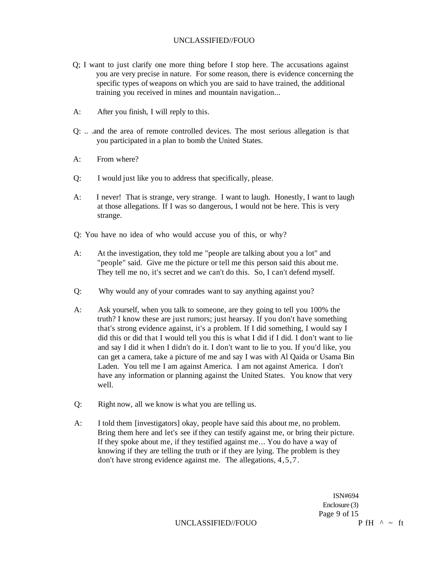- Q; I want to just clarify one more thing before I stop here. The accusations against you are very precise in nature. For some reason, there is evidence concerning the specific types of weapons on which you are said to have trained, the additional training you received in mines and mountain navigation...
- A: After you finish, I will reply to this.
- Q: .. .and the area of remote controlled devices. The most serious allegation is that you participated in a plan to bomb the United States.
- A: From where?
- Q: I would just like you to address that specifically, please.
- A: I never! That is strange, very strange. I want to laugh. Honestly, I want to laugh at those allegations. If I was so dangerous, I would not be here. This is very strange.

Q: You have no idea of who would accuse you of this, or why?

- A: At the investigation, they told me "people are talking about you a lot" and "people" said. Give me the picture or tell me this person said this about me. They tell me no, it's secret and we can't do this. So, I can't defend myself.
- Q: Why would any of your comrades want to say anything against you?
- A: Ask yourself, when you talk to someone, are they going to tell you 100% the truth? I know these are just rumors; just hearsay. If you don't have something that's strong evidence against, it's a problem. If I did something, I would say I did this or did that I would tell you this is what I did if I did. I don't want to lie and say I did it when I didn't do it. I don't want to lie to you. If you'd like, you can get a camera, take a picture of me and say I was with Al Qaida or Usama Bin Laden. You tell me I am against America. I am not against America. I don't have any information or planning against the United States. You know that very well.
- Q: Right now, all we know is what you are telling us.
- A: I told them [investigators] okay, people have said this about me, no problem. Bring them here and let's see if they can testify against me, or bring their picture. If they spoke about me, if they testified against me... You do have a way of knowing if they are telling the truth or if they are lying. The problem is they don't have strong evidence against me. The allegations, 4,5,7.

ISN#694 Enclosure (3) Page 9 of 15

UNCLASSIFIED//FOUO  $P fH^A \sim f$ t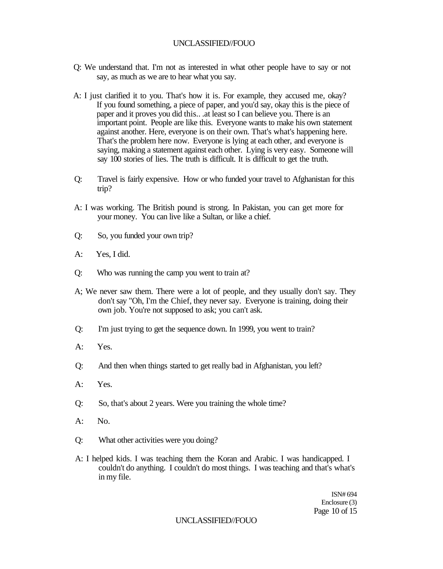- Q: We understand that. I'm not as interested in what other people have to say or not say, as much as we are to hear what you say.
- A: I just clarified it to you. That's how it is. For example, they accused me, okay? If you found something, a piece of paper, and you'd say, okay this is the piece of paper and it proves you did this.. .at least so I can believe you. There is an important point. People are like this. Everyone wants to make his own statement against another. Here, everyone is on their own. That's what's happening here. That's the problem here now. Everyone is lying at each other, and everyone is saying, making a statement against each other. Lying is very easy. Someone will say 100 stories of lies. The truth is difficult. It is difficult to get the truth.
- Q: Travel is fairly expensive. How or who funded your travel to Afghanistan for this trip?
- A: I was working. The British pound is strong. In Pakistan, you can get more for your money. You can live like a Sultan, or like a chief.
- Q: So, you funded your own trip?
- A: Yes, I did.
- Q: Who was running the camp you went to train at?
- A; We never saw them. There were a lot of people, and they usually don't say. They don't say "Oh, I'm the Chief, they never say. Everyone is training, doing their own job. You're not supposed to ask; you can't ask.
- Q: I'm just trying to get the sequence down. In 1999, you went to train?
- A: Yes.
- Q: And then when things started to get really bad in Afghanistan, you left?
- A: Yes.
- Q: So, that's about 2 years. Were you training the whole time?
- $A:$  No.
- Q: What other activities were you doing?
- A: I helped kids. I was teaching them the Koran and Arabic. I was handicapped. I couldn't do anything. I couldn't do most things. I was teaching and that's what's in my file.

ISN# 694 Enclosure (3) Page 10 of 15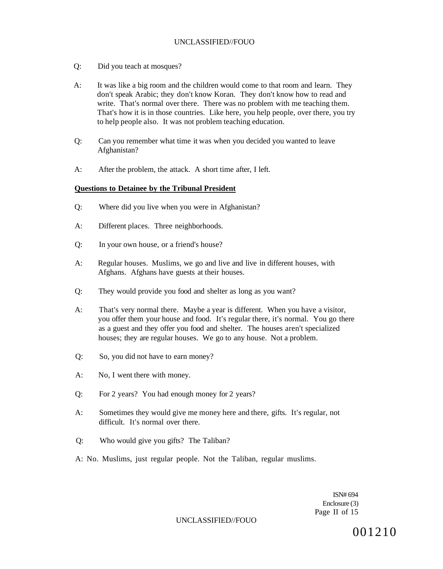- Q: Did you teach at mosques?
- A: It was like a big room and the children would come to that room and learn. They don't speak Arabic; they don't know Koran. They don't know how to read and write. That's normal over there. There was no problem with me teaching them. That's how it is in those countries. Like here, you help people, over there, you try to help people also. It was not problem teaching education.
- Q: Can you remember what time it was when you decided you wanted to leave Afghanistan?
- A: After the problem, the attack. A short time after, I left.

#### **Questions to Detainee by the Tribunal President**

- Q: Where did you live when you were in Afghanistan?
- A: Different places. Three neighborhoods.
- Q: In your own house, or a friend's house?
- A: Regular houses. Muslims, we go and live and live in different houses, with Afghans. Afghans have guests at their houses.
- Q: They would provide you food and shelter as long as you want?
- A: That's very normal there. Maybe a year is different. When you have a visitor, you offer them your house and food. It's regular there, it's normal. You go there as a guest and they offer you food and shelter. The houses aren't specialized houses; they are regular houses. We go to any house. Not a problem.
- Q: So, you did not have to earn money?
- A: No, I went there with money.
- Q: For 2 years? You had enough money for 2 years?
- A: Sometimes they would give me money here and there, gifts. It's regular, not difficult. It's normal over there.
- Q: Who would give you gifts? The Taliban?
- A: No. Muslims, just regular people. Not the Taliban, regular muslims.

ISN# 694 Enclosure (3) Page II of 15

#### UNCLASSIFIED//FOUO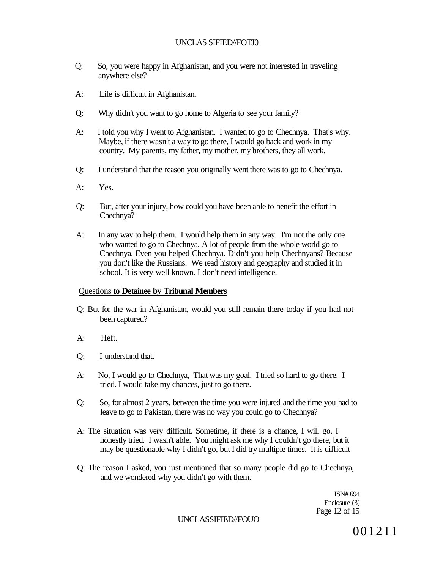# UNCLAS SIFIED//FOTJ0

- Q: So, you were happy in Afghanistan, and you were not interested in traveling anywhere else?
- A: Life is difficult in Afghanistan.
- Q: Why didn't you want to go home to Algeria to see your family?
- A: I told you why I went to Afghanistan. I wanted to go to Chechnya. That's why. Maybe, if there wasn't a way to go there, I would go back and work in my country. My parents, my father, my mother, my brothers, they all work.
- Q: I understand that the reason you originally went there was to go to Chechnya.
- A: Yes.
- Q: But, after your injury, how could you have been able to benefit the effort in Chechnya?
- A: In any way to help them. I would help them in any way. I'm not the only one who wanted to go to Chechnya. A lot of people from the whole world go to Chechnya. Even you helped Chechnya. Didn't you help Chechnyans? Because you don't like the Russians. We read history and geography and studied it in school. It is very well known. I don't need intelligence.

### Questions **to Detainee by Tribunal Members**

- Q: But for the war in Afghanistan, would you still remain there today if you had not been captured?
- A: Heft.
- Q: I understand that.
- A: No, I would go to Chechnya, That was my goal. I tried so hard to go there. I tried. I would take my chances, just to go there.
- Q: So, for almost 2 years, between the time you were injured and the time you had to leave to go to Pakistan, there was no way you could go to Chechnya?
- A: The situation was very difficult. Sometime, if there is a chance, I will go. I honestly tried. I wasn't able. You might ask me why I couldn't go there, but it may be questionable why I didn't go, but I did try multiple times. It is difficult
- Q: The reason I asked, you just mentioned that so many people did go to Chechnya, and we wondered why you didn't go with them.

ISN# 694 Enclosure (3) Page 12 of 15

#### UNCLASSIFIED//FOUO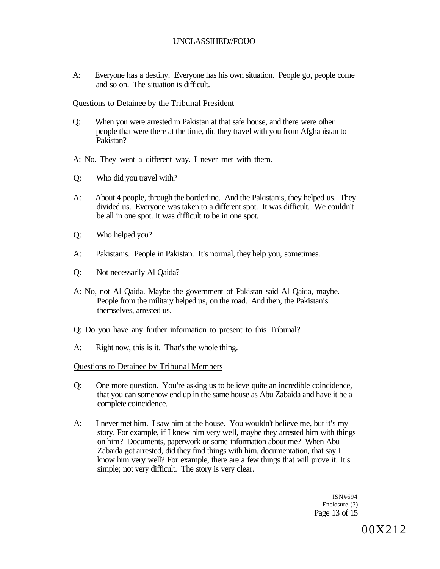A: Everyone has a destiny. Everyone has his own situation. People go, people come and so on. The situation is difficult.

#### Questions to Detainee by the Tribunal President

- Q: When you were arrested in Pakistan at that safe house, and there were other people that were there at the time, did they travel with you from Afghanistan to Pakistan?
- A: No. They went a different way. I never met with them.
- Q: Who did you travel with?
- A: About 4 people, through the borderline. And the Pakistanis, they helped us. They divided us. Everyone was taken to a different spot. It was difficult. We couldn't be all in one spot. It was difficult to be in one spot.
- Q: Who helped you?
- A: Pakistanis. People in Pakistan. It's normal, they help you, sometimes.
- Q: Not necessarily Al Qaida?
- A: No, not Al Qaida. Maybe the government of Pakistan said Al Qaida, maybe. People from the military helped us, on the road. And then, the Pakistanis themselves, arrested us.
- Q: Do you have any further information to present to this Tribunal?
- A: Right now, this is it. That's the whole thing.

#### Questions to Detainee by Tribunal Members

- Q: One more question. You're asking us to believe quite an incredible coincidence, that you can somehow end up in the same house as Abu Zabaida and have it be a complete coincidence.
- A: I never met him. I saw him at the house. You wouldn't believe me, but it's my story. For example, if I knew him very well, maybe they arrested him with things on him? Documents, paperwork or some information about me? When Abu Zabaida got arrested, did they find things with him, documentation, that say I know him very well? For example, there are a few things that will prove it. It's simple; not very difficult. The story is very clear.

ISN#694 Enclosure (3) Page 13 of 15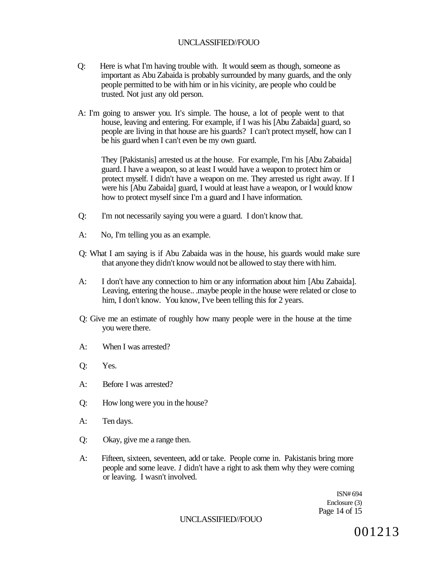- Q: Here is what I'm having trouble with. It would seem as though, someone as important as Abu Zabaida is probably surrounded by many guards, and the only people permitted to be with him or in his vicinity, are people who could be trusted. Not just any old person.
- A: I'm going to answer you. It's simple. The house, a lot of people went to that house, leaving and entering. For example, if I was his [Abu Zabaida] guard, so people are living in that house are his guards? I can't protect myself, how can I be his guard when I can't even be my own guard.

They [Pakistanis] arrested us at the house. For example, I'm his [Abu Zabaida] guard. I have a weapon, so at least I would have a weapon to protect him or protect myself. I didn't have a weapon on me. They arrested us right away. If I were his [Abu Zabaida] guard, I would at least have a weapon, or I would know how to protect myself since I'm a guard and I have information.

- Q: I'm not necessarily saying you were a guard. I don't know that.
- A: No, I'm telling you as an example.
- Q: What I am saying is if Abu Zabaida was in the house, his guards would make sure that anyone they didn't know would not be allowed to stay there with him.
- A: I don't have any connection to him or any information about him [Abu Zabaida]. Leaving, entering the house.. .maybe people in the house were related or close to him, I don't know. You know, I've been telling this for 2 years.
- Q: Give me an estimate of roughly how many people were in the house at the time you were there.
- A: When I was arrested?
- Q: Yes.
- A: Before I was arrested?
- Q: How long were you in the house?
- A: Ten days.
- Q: Okay, give me a range then.
- A: Fifteen, sixteen, seventeen, add or take. People come in. Pakistanis bring more people and some leave. *1* didn't have a right to ask them why they were coming or leaving. I wasn't involved.

ISN# 694 Enclosure (3) Page 14 of 15

UNCLASSIFIED//FOUO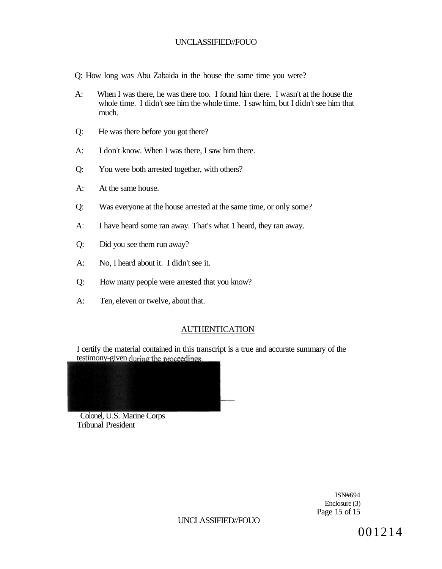- Q: How long was Abu Zabaida in the house the same time you were?
- A: When I was there, he was there too. I found him there. I wasn't at the house the whole time. I didn't see him the whole time. I saw him, but I didn't see him that much.
- Q: He was there before you got there?
- A: I don't know. When I was there, I saw him there.
- Q: You were both arrested together, with others?
- A: At the same house.
- Q: Was everyone at the house arrested at the same time, or only some?
- A: I have heard some ran away. That's what 1 heard, they ran away.
- Q: Did you see them run away?
- A: No, I heard about it. I didn't see it.
- Q: How many people were arrested that you know?
- A: Ten, eleven or twelve, about that.

#### AUTHENTICATION

I certify the material contained in this transcript is a true and accurate summary of the testimony-given during the proceedings.



Colonel, U.S. Marine Corps Tribunal President

> ISN#694 Enclosure (3) Page 15 of 15

UNCLASSIFIED//FOUO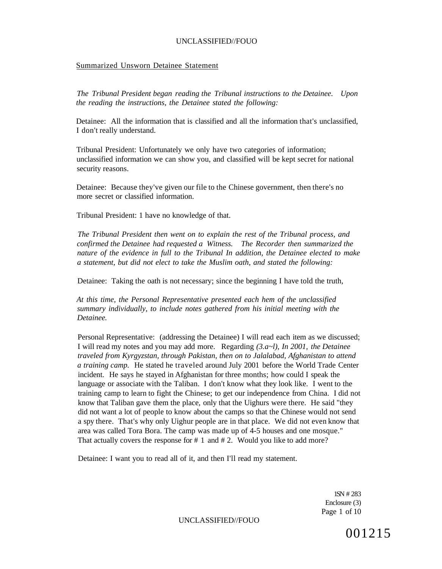#### Summarized Unsworn Detainee Statement

*The Tribunal President began reading the Tribunal instructions to the Detainee. Upon the reading the instructions, the Detainee stated the following:* 

Detainee: All the information that is classified and all the information that's unclassified, I don't really understand.

Tribunal President: Unfortunately we only have two categories of information; unclassified information we can show you, and classified will be kept secret for national security reasons.

Detainee: Because they've given our file to the Chinese government, then there's no more secret or classified information.

Tribunal President: 1 have no knowledge of that.

*The Tribunal President then went on to explain the rest of the Tribunal process, and confirmed the Detainee had requested a Witness. The Recorder then summarized the nature of the evidence in full to the Tribunal In addition, the Detainee elected to make a statement, but did not elect to take the Muslim oath, and stated the following:* 

Detainee: Taking the oath is not necessary; since the beginning I have told the truth,

*At this time, the Personal Representative presented each hem of the unclassified summary individually, to include notes gathered from his initial meeting with the Detainee.* 

Personal Representative: (addressing the Detainee) I will read each item as we discussed; I will read my notes and you may add more. Regarding *(3.a~l), In 2001, the Detainee traveled from Kyrgyzstan, through Pakistan, then on to Jalalabad, Afghanistan to attend a training camp.* He stated he traveled around July 2001 before the World Trade Center incident. He says he stayed in Afghanistan for three months; how could I speak the language or associate with the Taliban. I don't know what they look like. I went to the training camp to learn to fight the Chinese; to get our independence from China. I did not know that Taliban gave them the place, only that the Uighurs were there. He said "they did not want a lot of people to know about the camps so that the Chinese would not send a spy there. That's why only Uighur people are in that place. We did not even know that area was called Tora Bora. The camp was made up of 4-5 houses and one mosque." That actually covers the response for # 1 and # 2. Would you like to add more?

Detainee: I want you to read all of it, and then I'll read my statement.

1SN # 283 Enclosure (3) Page 1 of 10

UNCLASSIFIED//FOUO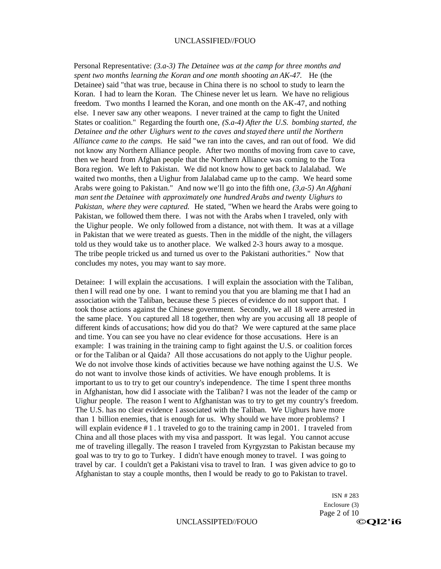Personal Representative: *(3.a-3) The Detainee was at the camp for three months and spent two months learning the Koran and one month shooting an AK-47.* He (the Detainee) said "that was true, because in China there is no school to study to learn the Koran. I had to learn the Koran. The Chinese never let us learn. We have no religious freedom. Two months I learned the Koran, and one month on the AK-47, and nothing else. I never saw any other weapons. I never trained at the camp to fight the United States or coalition." Regarding the fourth one, *(S.a-4) After the U.S. bombing started, the Detainee and the other Uighurs went to the caves and stayed there until the Northern Alliance came to the camps.* He said "we ran into the caves, and ran out of food. We did not know any Northern Alliance people. After two months of moving from cave to cave, then we heard from Afghan people that the Northern Alliance was coming to the Tora Bora region. We left to Pakistan. We did not know how to get back to Jalalabad. We waited two months, then a Uighur from Jalalabad came up to the camp. We heard some Arabs were going to Pakistan." And now we'll go into the fifth one, *(3,a-5) An Afghani man sent the Detainee with approximately one hundred Arabs and twenty Uighurs to Pakistan, where they were captured.* He stated, "When we heard the Arabs were going to Pakistan, we followed them there. I was not with the Arabs when I traveled, only with the Uighur people. We only followed from a distance, not with them. It was at a village in Pakistan that we were treated as guests. Then in the middle of the night, the villagers told us they would take us to another place. We walked 2-3 hours away to a mosque. The tribe people tricked us and turned us over to the Pakistani authorities." Now that concludes my notes, you may want to say more.

Detainee: I will explain the accusations. I will explain the association with the Taliban, then I will read one by one. I want to remind you that you are blaming me that I had an association with the Taliban, because these 5 pieces of evidence do not support that. I took those actions against the Chinese government. Secondly, we all 18 were arrested in the same place. You captured all 18 together, then why are you accusing all 18 people of different kinds of accusations; how did you do that? We were captured at the same place and time. You can see you have no clear evidence for those accusations. Here is an example: I was training in the training camp to fight against the U.S. or coalition forces or for the Taliban or al Qaida? All those accusations do not apply to the Uighur people. We do not involve those kinds of activities because we have nothing against the U.S. We do not want to involve those kinds of activities. We have enough problems. It is important to us to try to get our country's independence. The time I spent three months in Afghanistan, how did I associate with the Taliban? I was not the leader of the camp or Uighur people. The reason I went to Afghanistan was to try to get my country's freedom. The U.S. has no clear evidence I associated with the Taliban. We Uighurs have more than 1 billion enemies, that is enough for us. Why should we have more problems? I will explain evidence  $\#1.1$  traveled to go to the training camp in 2001. I traveled from China and all those places with my visa and passport. It was legal. You cannot accuse me of traveling illegally. The reason I traveled from Kyrgyzstan to Pakistan because my goal was to try to go to Turkey. I didn't have enough money to travel. I was going to travel by car. I couldn't get a Pakistani visa to travel to Iran. I was given advice to go to Afghanistan to stay a couple months, then I would be ready to go to Pakistan to travel.

> ISN # 283 Enclosure (3) Page 2 of 10 UNCLASSIPTED//FOUO<br>
> GOL2'i6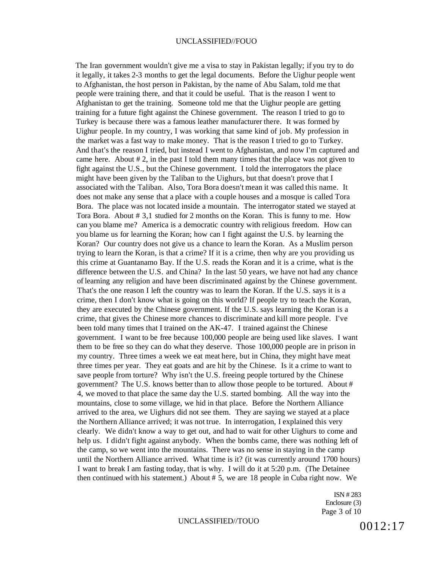The Iran government wouldn't give me a visa to stay in Pakistan legally; if you try to do it legally, it takes 2-3 months to get the legal documents. Before the Uighur people went to Afghanistan, the host person in Pakistan, by the name of Abu Salam, told me that people were training there, and that it could be useful. That is the reason I went to Afghanistan to get the training. Someone told me that the Uighur people are getting training for a future fight against the Chinese government. The reason I tried to go to Turkey is because there was a famous leather manufacturer there. It was formed by Uighur people. In my country, I was working that same kind of job. My profession in the market was a fast way to make money. That is the reason I tried to go to Turkey. And that's the reason I tried, but instead I went to Afghanistan, and now I'm captured and came here. About  $\# 2$ , in the past I told them many times that the place was not given to fight against the U.S., but the Chinese government. I told the interrogators the place might have been given by the Taliban to the Uighurs, but that doesn't prove that I associated with the Taliban. Also, Tora Bora doesn't mean it was called this name. It does not make any sense that a place with a couple houses and a mosque is called Tora Bora. The place was not located inside a mountain. The interrogator stated we stayed at Tora Bora. About # 3,1 studied for 2 months on the Koran. This is funny to me. How can you blame me? America is a democratic country with religious freedom. How can you blame us for learning the Koran; how can I fight against the U.S. by learning the Koran? Our country does not give us a chance to learn the Koran. As a Muslim person trying to learn the Koran, is that a crime? If it is a crime, then why are you providing us this crime at Guantanamo Bay. If the U.S. reads the Koran and it is a crime, what is the difference between the U.S. and China? In the last 50 years, we have not had any chance of learning any religion and have been discriminated against by the Chinese government. That's the one reason I left the country was to learn the Koran. If the U.S. says it is a crime, then I don't know what is going on this world? If people try to teach the Koran, they are executed by the Chinese government. If the U.S. says learning the Koran is a crime, that gives the Chinese more chances to discriminate and kill more people. I've been told many times that I trained on the AK-47. I trained against the Chinese government. I want to be free because 100,000 people are being used like slaves. I want them to be free so they can do what they deserve. Those 100,000 people are in prison in my country. Three times a week we eat meat here, but in China, they might have meat three times per year. They eat goats and are hit by the Chinese. Is it a crime to want to save people from torture? Why isn't the U.S. freeing people tortured by the Chinese government? The U.S. knows better than to allow those people to be tortured. About # 4, we moved to that place the same day the U.S. started bombing. All the way into the mountains, close to some village, we hid in that place. Before the Northern Alliance arrived to the area, we Uighurs did not see them. They are saying we stayed at a place the Northern Alliance arrived; it was not true. In interrogation, I explained this very clearly. We didn't know a way to get out, and had to wait for other Uighurs to come and help us. I didn't fight against anybody. When the bombs came, there was nothing left of the camp, so we went into the mountains. There was no sense in staying in the camp until the Northern Alliance arrived. What time is it? (it was currently around 1700 hours) I want to break I am fasting today, that is why. I will do it at 5:20 p.m. (The Detainee then continued with his statement.) About # 5, we are 18 people in Cuba right now. We

> ISN # 283 Enclosure (3) Page 3 of 10

# UNCLASSIFIED//TOUO  $0012:17$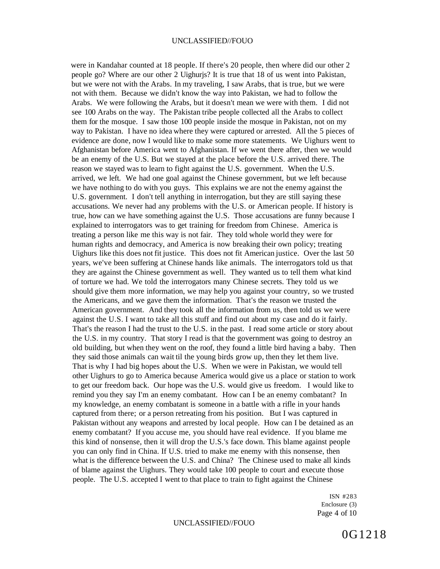were in Kandahar counted at 18 people. If there's 20 people, then where did our other 2 people go? Where are our other 2 Uighurjs? It is true that 18 of us went into Pakistan, but we were not with the Arabs. In my traveling, I saw Arabs, that is true, but we were not with them. Because we didn't know the way into Pakistan, we had to follow the Arabs. We were following the Arabs, but it doesn't mean we were with them. I did not see 100 Arabs on the way. The Pakistan tribe people collected all the Arabs to collect them for the mosque. I saw those 100 people inside the mosque in Pakistan, not on my way to Pakistan. I have no idea where they were captured or arrested. All the 5 pieces of evidence are done, now I would like to make some more statements. We Uighurs went to Afghanistan before America went to Afghanistan. If we went there after, then we would be an enemy of the U.S. But we stayed at the place before the U.S. arrived there. The reason we stayed was to learn to fight against the U.S. government. When the U.S. arrived, we left. We had one goal against the Chinese government, but we left because we have nothing to do with you guys. This explains we are not the enemy against the U.S. government. I don't tell anything in interrogation, but they are still saying these accusations. We never had any problems with the U.S. or American people. If history is true, how can we have something against the U.S. Those accusations are funny because I explained to interrogators was to get training for freedom from Chinese. America is treating a person like me this way is not fair. They told whole world they were for human rights and democracy, and America is now breaking their own policy; treating Uighurs like this does not fit justice. This does not fit American justice. Over the last 50 years, we've been suffering at Chinese hands like animals. The interrogators told us that they are against the Chinese government as well. They wanted us to tell them what kind of torture we had. We told the interrogators many Chinese secrets. They told us we should give them more information, we may help you against your country, so we trusted the Americans, and we gave them the information. That's the reason we trusted the American government. And they took all the information from us, then told us we were against the U.S. I want to take all this stuff and find out about my case and do it fairly. That's the reason I had the trust to the U.S. in the past. I read some article or story about the U.S. in my country. That story I read is that the government was going to destroy an old building, but when they went on the roof, they found a little bird having a baby. Then they said those animals can wait til the young birds grow up, then they let them live. That is why I had big hopes about the U.S. When we were in Pakistan, we would tell other Uighurs to go to America because America would give us a place or station to work to get our freedom back. Our hope was the U.S. would give us freedom. I would like to remind you they say I'm an enemy combatant. How can I be an enemy combatant? In my knowledge, an enemy combatant is someone in a battle with a rifle in your hands captured from there; or a person retreating from his position. But I was captured in Pakistan without any weapons and arrested by local people. How can I be detained as an enemy combatant? If you accuse me, you should have real evidence. If you blame me this kind of nonsense, then it will drop the U.S.'s face down. This blame against people you can only find in China. If U.S. tried to make me enemy with this nonsense, then what is the difference between the U.S. and China? The Chinese used to make all kinds of blame against the Uighurs. They would take 100 people to court and execute those people. The U.S. accepted I went to that place to train to fight against the Chinese

> ISN #283 Enclosure (3) Page 4 of 10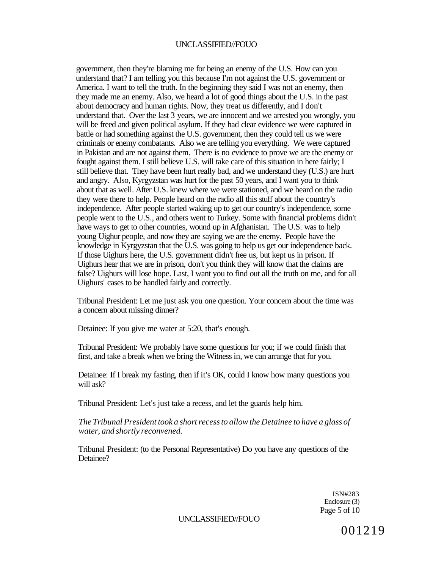government, then they're blaming me for being an enemy of the U.S. How can you understand that? I am telling you this because I'm not against the U.S. government or America. I want to tell the truth. In the beginning they said I was not an enemy, then they made me an enemy. Also, we heard a lot of good things about the U.S. in the past about democracy and human rights. Now, they treat us differently, and I don't understand that. Over the last 3 years, we are innocent and we arrested you wrongly, you will be freed and given political asylum. If they had clear evidence we were captured in battle or had something against the U.S. government, then they could tell us we were criminals or enemy combatants. Also we are telling you everything. We were captured in Pakistan and are not against them. There is no evidence to prove we are the enemy or fought against them. I still believe U.S. will take care of this situation in here fairly; I still believe that. They have been hurt really bad, and we understand they (U.S.) are hurt and angry. Also, Kyrgyzstan was hurt for the past 50 years, and I want you to think about that as well. After U.S. knew where we were stationed, and we heard on the radio they were there to help. People heard on the radio all this stuff about the country's independence. After people started waking up to get our country's independence, some people went to the U.S., and others went to Turkey. Some with financial problems didn't have ways to get to other countries, wound up in Afghanistan. The U.S. was to help young Uighur people, and now they are saying we are the enemy. People have the knowledge in Kyrgyzstan that the U.S. was going to help us get our independence back. If those Uighurs here, the U.S. government didn't free us, but kept us in prison. If Uighurs hear that we are in prison, don't you think they will know that the claims are false? Uighurs will lose hope. Last, I want you to find out all the truth on me, and for all Uighurs' cases to be handled fairly and correctly.

Tribunal President: Let me just ask you one question. Your concern about the time was a concern about missing dinner?

Detainee: If you give me water at 5:20, that's enough.

Tribunal President: We probably have some questions for you; if we could finish that first, and take a break when we bring the Witness in, we can arrange that for you.

Detainee: If I break my fasting, then if it's OK, could I know how many questions you will ask?

Tribunal President: Let's just take a recess, and let the guards help him.

*The Tribunal President took a short recess to allow the Detainee to have a glass of water, and shortly reconvened.* 

Tribunal President: (to the Personal Representative) Do you have any questions of the Detainee?

> ISN#283 Enclosure (3) Page 5 of 10

UNCLASSIFIED//FOUO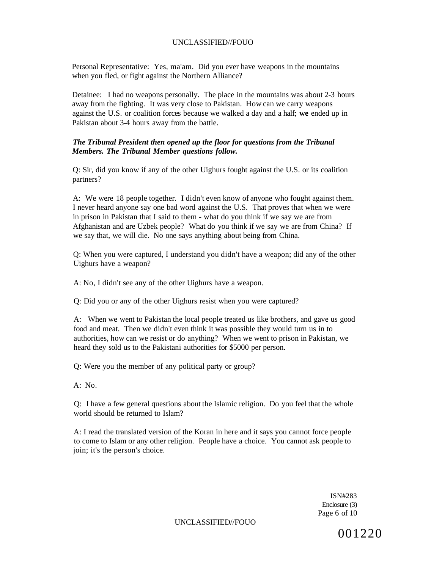Personal Representative: Yes, ma'am. Did you ever have weapons in the mountains when you fled, or fight against the Northern Alliance?

Detainee: I had no weapons personally. The place in the mountains was about 2-3 hours away from the fighting. It was very close to Pakistan. How can we carry weapons against the U.S. or coalition forces because we walked a day and a half; **we** ended up in Pakistan about 3-4 hours away from the battle.

#### *The Tribunal President then opened up the floor for questions from the Tribunal Members. The Tribunal Member questions follow.*

Q: Sir, did you know if any of the other Uighurs fought against the U.S. or its coalition partners?

A: We were 18 people together. I didn't even know of anyone who fought against them. I never heard anyone say one bad word against the U.S. That proves that when we were in prison in Pakistan that I said to them - what do you think if we say we are from Afghanistan and are Uzbek people? What do you think if we say we are from China? If we say that, we will die. No one says anything about being from China.

Q: When you were captured, I understand you didn't have a weapon; did any of the other Uighurs have a weapon?

A: No, I didn't see any of the other Uighurs have a weapon.

Q: Did you or any of the other Uighurs resist when you were captured?

A: When we went to Pakistan the local people treated us like brothers, and gave us good food and meat. Then we didn't even think it was possible they would turn us in to authorities, how can we resist or do anything? When we went to prison in Pakistan, we heard they sold us to the Pakistani authorities for \$5000 per person.

Q: Were you the member of any political party or group?

A: No.

Q: I have a few general questions about the Islamic religion. Do you feel that the whole world should be returned to Islam?

A: I read the translated version of the Koran in here and it says you cannot force people to come to Islam or any other religion. People have a choice. You cannot ask people to join; it's the person's choice.

> ISN#283 Enclosure (3) Page 6 of 10

UNCLASSIFIED//FOUO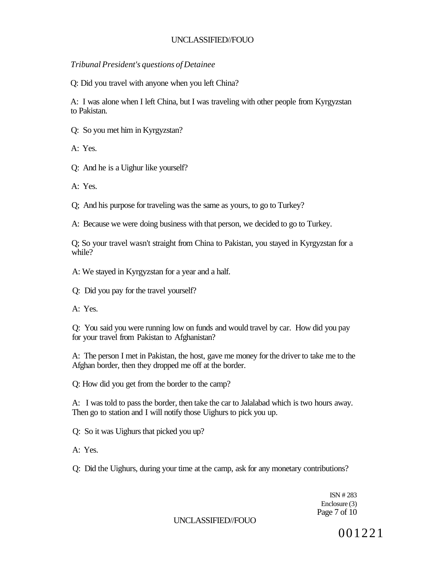*Tribunal President's questions of Detainee* 

Q: Did you travel with anyone when you left China?

A: I was alone when I left China, but I was traveling with other people from Kyrgyzstan to Pakistan.

Q: So you met him in Kyrgyzstan?

A: Yes.

- Q: And he is a Uighur like yourself?
- A: Yes.

Q; And his purpose for traveling was the same as yours, to go to Turkey?

A: Because we were doing business with that person, we decided to go to Turkey.

Q; So your travel wasn't straight from China to Pakistan, you stayed in Kyrgyzstan for a while?

A: We stayed in Kyrgyzstan for a year and a half.

- Q: Did you pay for the travel yourself?
- A: Yes.

Q: You said you were running low on funds and would travel by car. How did you pay for your travel from Pakistan to Afghanistan?

A: The person I met in Pakistan, the host, gave me money for the driver to take me to the Afghan border, then they dropped me off at the border.

Q: How did you get from the border to the camp?

A: I was told to pass the border, then take the car to Jalalabad which is two hours away. Then go to station and I will notify those Uighurs to pick you up.

Q: So it was Uighurs that picked you up?

- A: Yes.
- Q: Did the Uighurs, during your time at the camp, ask for any monetary contributions?

ISN # 283 Enclosure (3) Page 7 of 10

UNCLASSIFIED//FOUO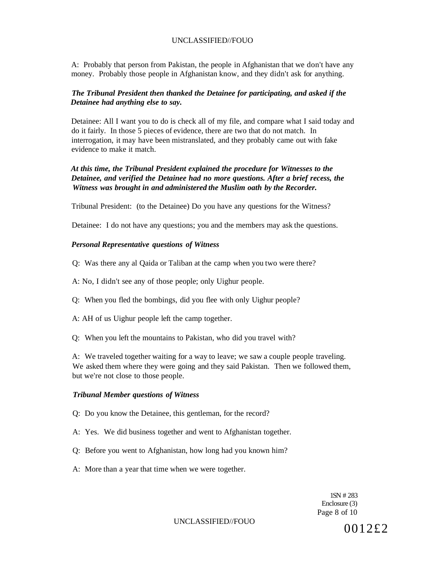A: Probably that person from Pakistan, the people in Afghanistan that we don't have any money. Probably those people in Afghanistan know, and they didn't ask for anything.

#### *The Tribunal President then thanked the Detainee for participating, and asked if the Detainee had anything else to say.*

Detainee: All I want you to do is check all of my file, and compare what I said today and do it fairly. In those 5 pieces of evidence, there are two that do not match. In interrogation, it may have been mistranslated, and they probably came out with fake evidence to make it match.

# *At this time, the Tribunal President explained the procedure for Witnesses to the Detainee, and verified the Detainee had no more questions. After a brief recess, the Witness was brought in and administered the Muslim oath by the Recorder.*

Tribunal President: (to the Detainee) Do you have any questions for the Witness?

Detainee: I do not have any questions; you and the members may ask the questions.

#### *Personal Representative questions of Witness*

- Q: Was there any al Qaida or Taliban at the camp when you two were there?
- A: No, I didn't see any of those people; only Uighur people.
- Q: When you fled the bombings, did you flee with only Uighur people?
- A: AH of us Uighur people left the camp together.
- Q: When you left the mountains to Pakistan, who did you travel with?

A: We traveled together waiting for a way to leave; we saw a couple people traveling. We asked them where they were going and they said Pakistan. Then we followed them, but we're not close to those people.

#### *Tribunal Member questions of Witness*

- Q: Do you know the Detainee, this gentleman, for the record?
- A: Yes. We did business together and went to Afghanistan together.
- Q: Before you went to Afghanistan, how long had you known him?
- A: More than a year that time when we were together.

1SN # 283 Enclosure (3) Page 8 of 10

UNCLASSIFIED//FOUO  $0012£2$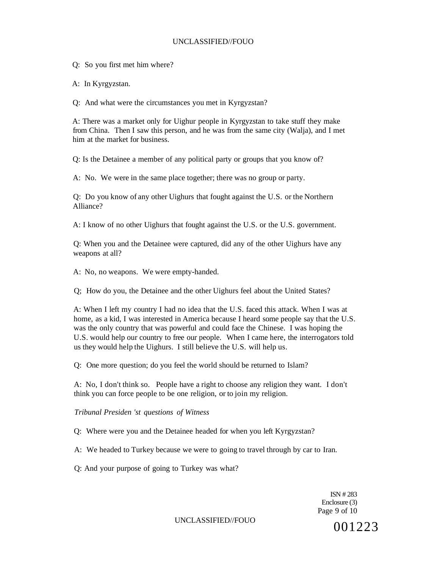Q: So you first met him where?

A: In Kyrgyzstan.

Q: And what were the circumstances you met in Kyrgyzstan?

A: There was a market only for Uighur people in Kyrgyzstan to take stuff they make from China. Then I saw this person, and he was from the same city (Walja), and I met him at the market for business.

Q: Is the Detainee a member of any political party or groups that you know of?

A: No. We were in the same place together; there was no group or party.

Q: Do you know of any other Uighurs that fought against the U.S. or the Northern Alliance?

A: I know of no other Uighurs that fought against the U.S. or the U.S. government.

Q: When you and the Detainee were captured, did any of the other Uighurs have any weapons at all?

A: No, no weapons. We were empty-handed.

Q; How do you, the Detainee and the other Uighurs feel about the United States?

A: When I left my country I had no idea that the U.S. faced this attack. When I was at home, as a kid, I was interested in America because I heard some people say that the U.S. was the only country that was powerful and could face the Chinese. I was hoping the U.S. would help our country to free our people. When I came here, the interrogators told us they would help the Uighurs. I still believe the U.S. will help us.

Q: One more question; do you feel the world should be returned to Islam?

A: No, I don't think so. People have a right to choose any religion they want. I don't think you can force people to be one religion, or to join my religion.

#### *Tribunal Presiden 'st questions of Witness*

Q: Where were you and the Detainee headed for when you left Kyrgyzstan?

A: We headed to Turkey because we were to going to travel through by car to Iran.

Q: And your purpose of going to Turkey was what?

ISN # 283 Enclosure (3) Page 9 of 10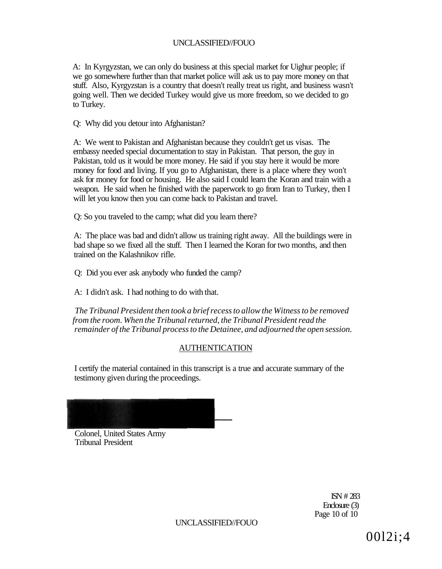A: In Kyrgyzstan, we can only do business at this special market for Uighur people; if we go somewhere further than that market police will ask us to pay more money on that stuff. Also, Kyrgyzstan is a country that doesn't really treat us right, and business wasn't going well. Then we decided Turkey would give us more freedom, so we decided to go to Turkey.

Q: Why did you detour into Afghanistan?

A: We went to Pakistan and Afghanistan because they couldn't get us visas. The embassy needed special documentation to stay in Pakistan. That person, the guy in Pakistan, told us it would be more money. He said if you stay here it would be more money for food and living. If you go to Afghanistan, there is a place where they won't ask for money for food or housing. He also said I could learn the Koran and train with a weapon. He said when he finished with the paperwork to go from Iran to Turkey, then I will let you know then you can come back to Pakistan and travel.

Q: So you traveled to the camp; what did you learn there?

A: The place was bad and didn't allow us training right away. All the buildings were in bad shape so we fixed all the stuff. Then I learned the Koran for two months, and then trained on the Kalashnikov rifle.

Q: Did you ever ask anybody who funded the camp?

A: I didn't ask. I had nothing to do with that.

*The Tribunal President then took a brief recess to allow the Witness to be removed from the room. When the Tribunal returned, the Tribunal President read the remainder of the Tribunal process to the Detainee, and adjourned the open session.* 

### AUTHENTICATION

I certify the material contained in this transcript is a true and accurate summary of the testimony given during the proceedings.



Colonel, United States Army Tribunal President

> ISN # 283 Enclosure (3) Page 10 of 10

UNCLASSIFIED//FOUO

00l2i;4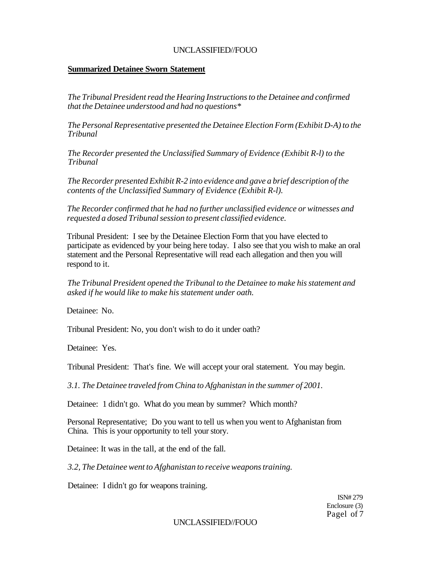## **Summarized Detainee Sworn Statement**

*The Tribunal President read the Hearing Instructions to the Detainee and confirmed that the Detainee understood and had no questions\** 

*The Personal Representative presented the Detainee Election Form (Exhibit D-A) to the Tribunal* 

*The Recorder presented the Unclassified Summary of Evidence (Exhibit R-l) to the Tribunal* 

*The Recorder presented Exhibit R-2 into evidence and gave a brief description of the contents of the Unclassified Summary of Evidence (Exhibit R-l).* 

*The Recorder confirmed that he had no further unclassified evidence or witnesses and requested a dosed Tribunal session to present classified evidence.* 

Tribunal President: I see by the Detainee Election Form that you have elected to participate as evidenced by your being here today. I also see that you wish to make an oral statement and the Personal Representative will read each allegation and then you will respond to it.

*The Tribunal President opened the Tribunal to the Detainee to make his statement and asked if he would like to make his statement under oath.* 

Detainee: No.

Tribunal President: No, you don't wish to do it under oath?

Detainee: Yes.

Tribunal President: That's fine. We will accept your oral statement. You may begin.

*3.1. The Detainee traveled from China to Afghanistan in the summer of 2001.* 

Detainee: 1 didn't go. What do you mean by summer? Which month?

Personal Representative; Do you want to tell us when you went to Afghanistan from China. This is your opportunity to tell your story.

Detainee: It was in the tall, at the end of the fall.

*3.2, The Detainee went to Afghanistan to receive weapons training.* 

Detainee: I didn't go for weapons training.

ISN# 279 Enclosure (3) Pagel of 7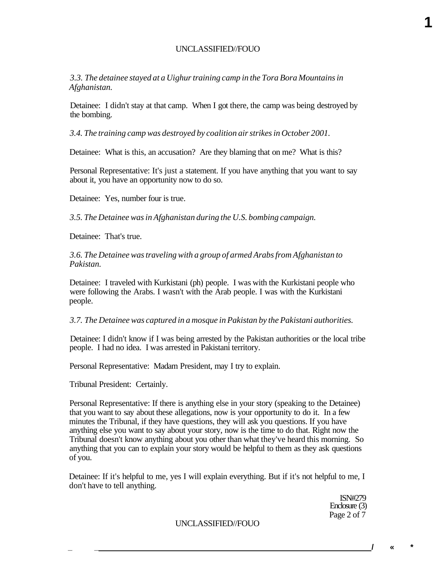*3.3. The detainee stayed at a Uighur training camp in the Tora Bora Mountains in Afghanistan.* 

Detainee: I didn't stay at that camp. When I got there, the camp was being destroyed by the bombing.

*3.4. The training camp was destroyed by coalition air strikes in October 2001.* 

Detainee: What is this, an accusation? Are they blaming that on me? What is this?

Personal Representative: It's just a statement. If you have anything that you want to say about it, you have an opportunity now to do so.

Detainee: Yes, number four is true.

*3.5. The Detainee was in Afghanistan during the U.S. bombing campaign.* 

Detainee: That's true.

*3.6. The Detainee was traveling with a group of armed Arabs from Afghanistan to Pakistan.* 

Detainee: I traveled with Kurkistani (ph) people. I was with the Kurkistani people who were following the Arabs. I wasn't with the Arab people. I was with the Kurkistani people.

*3.7. The Detainee was captured in a mosque in Pakistan by the Pakistani authorities.* 

Detainee: I didn't know if I was being arrested by the Pakistan authorities or the local tribe people. I had no idea. I was arrested in Pakistani territory.

Personal Representative: Madam President, may I try to explain.

Tribunal President: Certainly.

Personal Representative: If there is anything else in your story (speaking to the Detainee) that you want to say about these allegations, now is your opportunity to do it. In a few minutes the Tribunal, if they have questions, they will ask you questions. If you have anything else you want to say about your story, now is the time to do that. Right now the Tribunal doesn't know anything about you other than what they've heard this morning. So anything that you can to explain your story would be helpful to them as they ask questions of you.

Detainee: If it's helpful to me, yes I will explain everything. But if it's not helpful to me, I don't have to tell anything.

> ISN#279 Enclosure (3) Page 2 of 7

#### UNCLASSIFIED//FOUO

**1** 

**\_ \_ /« \***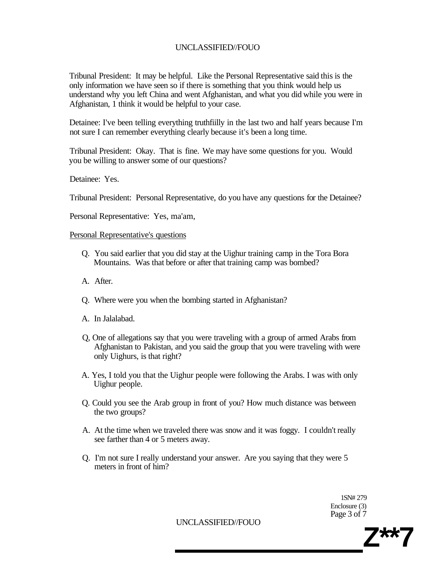Tribunal President: It may be helpful. Like the Personal Representative said this is the only information we have seen so if there is something that you think would help us understand why you left China and went Afghanistan, and what you did while you were in Afghanistan, 1 think it would be helpful to your case.

Detainee: I've been telling everything truthfiilly in the last two and half years because I'm not sure I can remember everything clearly because it's been a long time.

Tribunal President: Okay. That is fine. We may have some questions for you. Would you be willing to answer some of our questions?

Detainee: Yes.

Tribunal President: Personal Representative, do you have any questions for the Detainee?

Personal Representative: Yes, ma'am,

#### Personal Representative's questions

- Q. You said earlier that you did stay at the Uighur training camp in the Tora Bora Mountains. Was that before or after that training camp was bombed?
- A. After.
- Q. Where were you when the bombing started in Afghanistan?
- A. In Jalalabad.
- Q, One of allegations say that you were traveling with a group of armed Arabs from Afghanistan to Pakistan, and you said the group that you were traveling with were only Uighurs, is that right?
- A. Yes, I told you that the Uighur people were following the Arabs. I was with only Uighur people.
- Q. Could you see the Arab group in front of you? How much distance was between the two groups?
- A. At the time when we traveled there was snow and it was foggy. I couldn't really see farther than 4 or 5 meters away.
- Q. I'm not sure I really understand your answer. Are you saying that they were 5 meters in front of him?

1SN# 279 Enclosure (3) Page 3 of 7

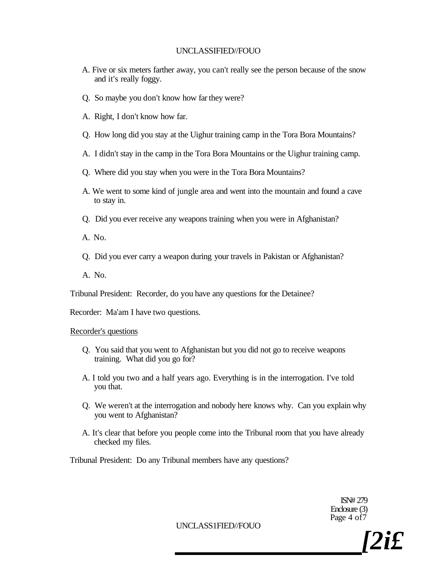- A. Five or six meters farther away, you can't really see the person because of the snow and it's really foggy.
- Q. So maybe you don't know how far they were?
- A. Right, I don't know how far.
- Q. How long did you stay at the Uighur training camp in the Tora Bora Mountains?
- A. I didn't stay in the camp in the Tora Bora Mountains or the Uighur training camp.
- Q. Where did you stay when you were in the Tora Bora Mountains?
- A. We went to some kind of jungle area and went into the mountain and found a cave to stay in.
- Q. Did you ever receive any weapons training when you were in Afghanistan?

A. No.

Q. Did you ever carry a weapon during your travels in Pakistan or Afghanistan?

A. No.

Tribunal President: Recorder, do you have any questions for the Detainee?

Recorder: Ma'am I have two questions.

#### Recorder's questions

- Q. You said that you went to Afghanistan but you did not go to receive weapons training. What did you go for?
- A. I told you two and a half years ago. Everything is in the interrogation. I've told you that.
- Q. We weren't at the interrogation and nobody here knows why. Can you explain why you went to Afghanistan?
- A. It's clear that before you people come into the Tribunal room that you have already checked my files.

Tribunal President: Do any Tribunal members have any questions?

ISN# 279 Enclosure (3) Page 4 of 7

UNCLASS1FIED//FOUO

*[2i£*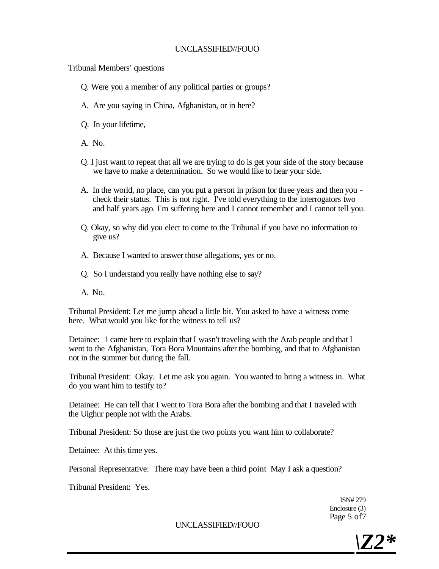### Tribunal Members' questions

- Q. Were you a member of any political parties or groups?
- A. Are you saying in China, Afghanistan, or in here?
- Q. In your lifetime,
- A. No.
- Q. I just want to repeat that all we are trying to do is get your side of the story because we have to make a determination. So we would like to hear your side.
- A. In the world, no place, can you put a person in prison for three years and then you check their status. This is not right. I've told everything to the interrogators two and half years ago. I'm suffering here and I cannot remember and I cannot tell you.
- Q. Okay, so why did you elect to come to the Tribunal if you have no information to give us?
- A. Because I wanted to answer those allegations, yes or no.
- Q. So I understand you really have nothing else to say?
- A. No.

Tribunal President: Let me jump ahead a little bit. You asked to have a witness come here. What would you like for the witness to tell us?

Detainee: 1 came here to explain that I wasn't traveling with the Arab people and that I went to the Afghanistan, Tora Bora Mountains after the bombing, and that to Afghanistan not in the summer but during the fall.

Tribunal President: Okay. Let me ask you again. You wanted to bring a witness in. What do you want him to testify to?

Detainee: He can tell that I went to Tora Bora after the bombing and that I traveled with the Uighur people not with the Arabs.

Tribunal President: So those are just the two points you want him to collaborate?

Detainee: At this time yes.

Personal Representative: There may have been a third point May I ask a question?

Tribunal President: Yes.

ISN# 279 Enclosure (3) Page 5 of7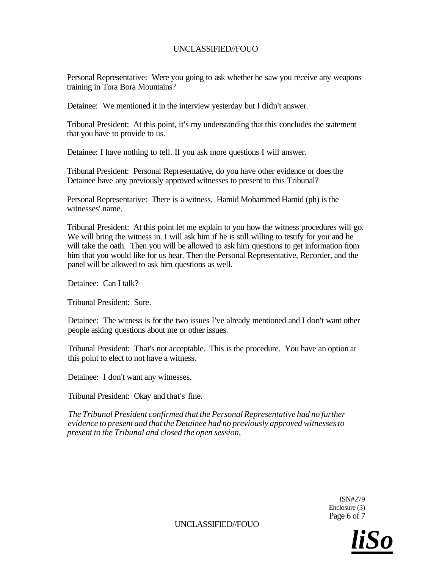Personal Representative: Were you going to ask whether he saw you receive any weapons training in Tora Bora Mountains?

Detainee: We mentioned it in the interview yesterday but I didn't answer.

Tribunal President: At this point, it's my understanding that this concludes the statement that you have to provide to us.

Detainee: I have nothing to tell. If you ask more questions I will answer.

Tribunal President: Personal Representative, do you have other evidence or does the Detainee have any previously approved witnesses to present to this Tribunal?

Personal Representative: There is a witness. Hamid Mohammed Hamid (ph) is the witnesses' name.

Tribunal President: At this point let me explain to you how the witness procedures will go. We will bring the witness in. I will ask him if he is still willing to testify for you and he will take the oath. Then you will be allowed to ask him questions to get information from him that you would like for us hear. Then the Personal Representative, Recorder, and the panel will be allowed to ask him questions as well.

Detainee: Can I talk?

Tribunal President: Sure.

Detainee: The witness is for the two issues I've already mentioned and I don't want other people asking questions about me or other issues.

Tribunal President: That's not acceptable. This is the procedure. You have an option at this point to elect to not have a witness.

Detainee: I don't want any witnesses.

Tribunal President: Okay and that's fine.

*The Tribunal President confirmed that the Personal Representative had no further evidence to present and that the Detainee had no previously approved witnesses to present to the Tribunal and closed the open session,* 

> ISN#279 Enclosure (3) Page 6 of 7

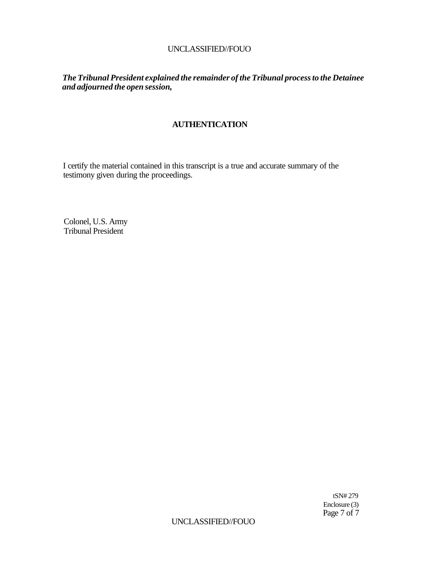*The Tribunal President explained the remainder of the Tribunal process to the Detainee and adjourned the open session,* 

# **AUTHENTICATION**

I certify the material contained in this transcript is a true and accurate summary of the testimony given during the proceedings.

Colonel, U.S. Army Tribunal President

> tSN# 279 Enclosure (3) Page 7 of  $\overline{7}$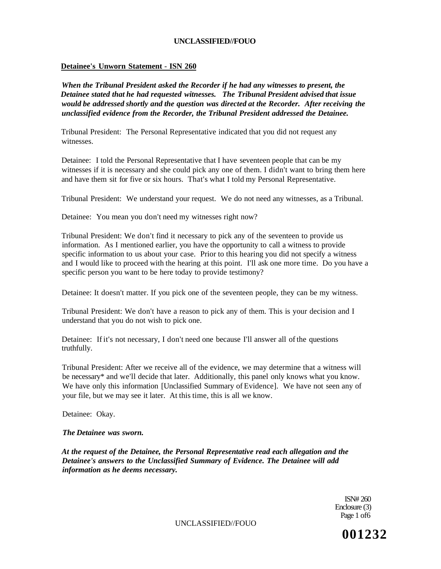#### **Detainee's Unworn Statement** - **ISN 260**

*When the Tribunal President asked the Recorder if he had any witnesses to present, the Detainee stated that he had requested witnesses. The Tribunal President advised that issue would be addressed shortly and the question was directed at the Recorder. After receiving the unclassified evidence from the Recorder, the Tribunal President addressed the Detainee.* 

Tribunal President: The Personal Representative indicated that you did not request any witnesses.

Detainee: I told the Personal Representative that I have seventeen people that can be my witnesses if it is necessary and she could pick any one of them. I didn't want to bring them here and have them sit for five or six hours. That's what I told my Personal Representative.

Tribunal President: We understand your request. We do not need any witnesses, as a Tribunal.

Detainee: You mean you don't need my witnesses right now?

Tribunal President: We don't find it necessary to pick any of the seventeen to provide us information. As I mentioned earlier, you have the opportunity to call a witness to provide specific information to us about your case. Prior to this hearing you did not specify a witness and I would like to proceed with the hearing at this point. I'll ask one more time. Do you have a specific person you want to be here today to provide testimony?

Detainee: It doesn't matter. If you pick one of the seventeen people, they can be my witness.

Tribunal President: We don't have a reason to pick any of them. This is your decision and I understand that you do not wish to pick one.

Detainee: If it's not necessary, I don't need one because I'll answer all of the questions truthfully.

Tribunal President: After we receive all of the evidence, we may determine that a witness will be necessary\* and we'll decide that later. Additionally, this panel only knows what you know. We have only this information [Unclassified Summary of Evidence]. We have not seen any of your file, but we may see it later. At this time, this is all we know.

Detainee: Okay.

*The Detainee was sworn.* 

*At the request of the Detainee, the Personal Representative read each allegation and the Detainee's answers to the Unclassified Summary of Evidence. The Detainee will add information as he deems necessary.* 

> ISN# 260 Enclosure (3) Page 1 of6

UNCLASSIFIED//FOUO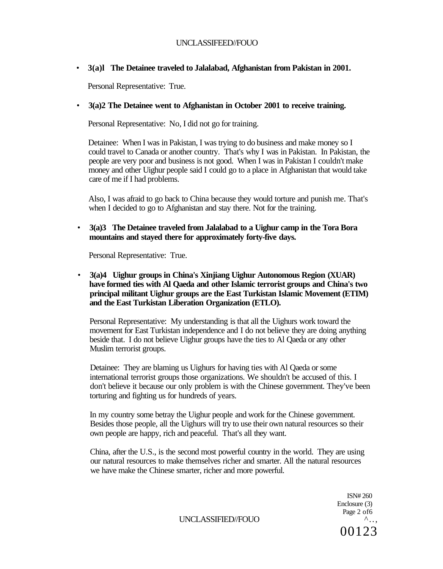• **3(a)l The Detainee traveled to Jalalabad, Afghanistan from Pakistan in 2001.** 

Personal Representative: True.

# • **3(a)2 The Detainee went to Afghanistan in October 2001 to receive training.**

Personal Representative: No, I did not go for training.

Detainee: When I was in Pakistan, I was trying to do business and make money so I could travel to Canada or another country. That's why I was in Pakistan. In Pakistan, the people are very poor and business is not good. When I was in Pakistan I couldn't make money and other Uighur people said I could go to a place in Afghanistan that would take care of me if I had problems.

Also, I was afraid to go back to China because they would torture and punish me. That's when I decided to go to Afghanistan and stay there. Not for the training.

• **3(a)3 The Detainee traveled from Jalalabad to a Uighur camp in the Tora Bora mountains and stayed there for approximately forty-five days.** 

Personal Representative: True.

• **3(a)4 Uighur groups in China's Xinjiang Uighur Autonomous Region (XUAR) have formed ties with Al Qaeda and other Islamic terrorist groups and China's two principal militant Uighur groups are the East Turkistan Islamic Movement (ETIM) and the East Turkistan Liberation Organization (ETLO).** 

Personal Representative: My understanding is that all the Uighurs work toward the movement for East Turkistan independence and I do not believe they are doing anything beside that. I do not believe Uighur groups have the ties to Al Qaeda or any other Muslim terrorist groups.

Detainee: They are blaming us Uighurs for having ties with Al Qaeda or some international terrorist groups those organizations. We shouldn't be accused of this. I don't believe it because our only problem is with the Chinese government. They've been torturing and fighting us for hundreds of years.

In my country some betray the Uighur people and work for the Chinese government. Besides those people, all the Uighurs will try to use their own natural resources so their own people are happy, rich and peaceful. That's all they want.

China, after the U.S., is the second most powerful country in the world. They are using our natural resources to make themselves richer and smarter. All the natural resources we have make the Chinese smarter, richer and more powerful.

> ISN# 260 Enclosure (3) Page 2 of 6  $\wedge \ldots$ 00123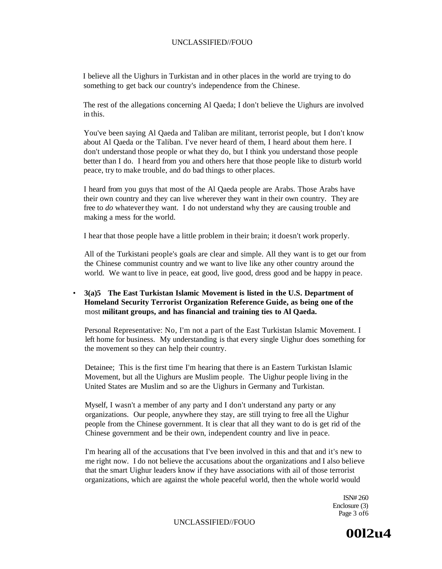I believe all the Uighurs in Turkistan and in other places in the world are trying to do something to get back our country's independence from the Chinese.

The rest of the allegations concerning Al Qaeda; I don't believe the Uighurs are involved in this.

You've been saying Al Qaeda and Taliban are militant, terrorist people, but I don't know about Al Qaeda or the Taliban. I've never heard of them, I heard about them here. I don't understand those people or what they do, but I think you understand those people better than I do. I heard from you and others here that those people like to disturb world peace, try to make trouble, and do bad things to other places.

I heard from you guys that most of the Al Qaeda people are Arabs. Those Arabs have their own country and they can live wherever they want in their own country. They are free to *do* whatever they want. I do not understand why they are causing trouble and making a mess for the world.

I hear that those people have a little problem in their brain; it doesn't work properly.

All of the Turkistani people's goals are clear and simple. All they want is to get our from the Chinese communist country and we want to live like any other country around the world. We want to live in peace, eat good, live good, dress good and be happy in peace.

#### • **3(a)5 The East Turkistan Islamic Movement is listed in the U.S. Department of Homeland Security Terrorist Organization Reference Guide, as being one of the**  most **militant groups, and has financial and training ties to Al Qaeda.**

Personal Representative: No, I'm not a part of the East Turkistan Islamic Movement. I left home for business. My understanding is that every single Uighur does something for the movement so they can help their country.

Detainee; This is the first time I'm hearing that there is an Eastern Turkistan Islamic Movement, but all the Uighurs are Muslim people. The Uighur people living in the United States are Muslim and so are the Uighurs in Germany and Turkistan.

Myself, I wasn't a member of any party and I don't understand any party or any organizations. Our people, anywhere they stay, are still trying to free all the Uighur people from the Chinese government. It is clear that all they want to do is get rid of the Chinese government and be their own, independent country and live in peace.

I'm hearing all of the accusations that I've been involved in this and that and it's new to me right now. I do not believe the accusations about the organizations and I also believe that the smart Uighur leaders know if they have associations with ail of those terrorist organizations, which are against the whole peaceful world, then the whole world would

> ISN# 260 Enclosure (3) Page 3 of6

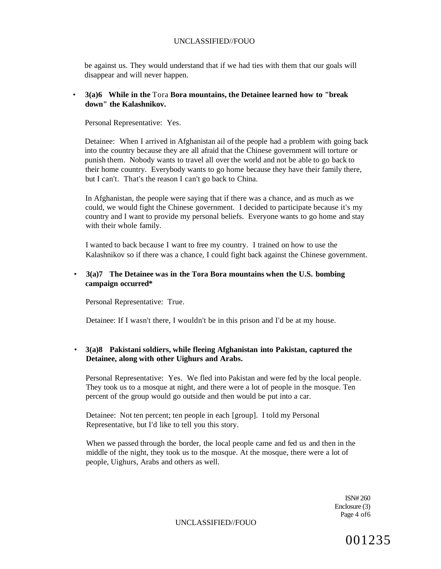be against us. They would understand that if we had ties with them that our goals will disappear and will never happen.

#### • **3(a)6 While in the** Tora **Bora mountains, the Detainee learned how to "break down" the Kalashnikov.**

Personal Representative: Yes.

Detainee: When I arrived in Afghanistan ail of the people had a problem with going back into the country because they are all afraid that the Chinese government will torture or punish them. Nobody wants to travel all over the world and not be able to go back to their home country. Everybody wants to go home because they have their family there, but I can't. That's the reason I can't go back to China.

In Afghanistan, the people were saying that if there was a chance, and as much as we could, we would fight the Chinese government. I decided to participate because it's my country and I want to provide my personal beliefs. Everyone wants to go home and stay with their whole family.

I wanted to back because I want to free my country. I trained on how to use the Kalashnikov so if there was a chance, I could fight back against the Chinese government.

#### • **3(a)7 The Detainee was in the Tora Bora mountains when the U.S. bombing campaign occurred\***

Personal Representative: True.

Detainee: If I wasn't there, I wouldn't be in this prison and I'd be at my house.

# • **3(a)8 Pakistani soldiers, while fleeing Afghanistan into Pakistan, captured the Detainee, along with other Uighurs and Arabs.**

Personal Representative: Yes. We fled into Pakistan and were fed by the local people. They took us to a mosque at night, and there were a lot of people in the mosque. Ten percent of the group would go outside and then would be put into a car.

Detainee: Not ten percent; ten people in each [group]. I told my Personal Representative, but I'd like to tell you this story.

When we passed through the border, the local people came and fed us and then in the middle of the night, they took us to the mosque. At the mosque, there were a lot of people, Uighurs, Arabs and others as well.

> ISN# 260 Enclosure (3) Page 4 of6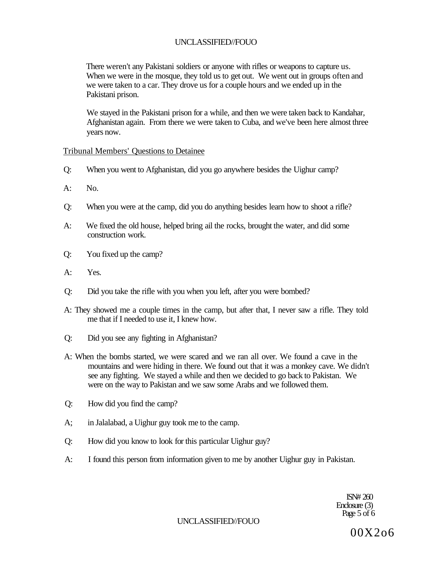There weren't any Pakistani soldiers or anyone with rifles or weapons to capture us. When we were in the mosque, they told us to get out. We went out in groups often and we were taken to a car. They drove us for a couple hours and we ended up in the Pakistani prison.

We stayed in the Pakistani prison for a while, and then we were taken back to Kandahar, Afghanistan again. From there we were taken to Cuba, and we've been here almost three years now.

# Tribunal Members' Questions to Detainee

- Q: When you went to Afghanistan, did you go anywhere besides the Uighur camp?
- $A:$  No.
- Q: When you were at the camp, did you do anything besides learn how to shoot a rifle?
- A: We fixed the old house, helped bring ail the rocks, brought the water, and did some construction work.
- Q: You fixed up the camp?
- A: Yes.
- Q: Did you take the rifle with you when you left, after you were bombed?
- A: They showed me a couple times in the camp, but after that, I never saw a rifle. They told me that if I needed to use it, I knew how.
- Q: Did you see any fighting in Afghanistan?
- A: When the bombs started, we were scared and we ran all over. We found a cave in the mountains and were hiding in there. We found out that it was a monkey cave. We didn't see any fighting. We stayed a while and then we decided to go back to Pakistan. We were on the way to Pakistan and we saw some Arabs and we followed them.
- Q: How did you find the camp?
- A; in Jalalabad, a Uighur guy took me to the camp.
- Q: How did you know to look for this particular Uighur guy?
- A: I found this person from information given to me by another Uighur guy in Pakistan.

ISN# 260 Enclosure (3) Page 5 of 6

UNCLASSIFIED//FOUO

00X2o6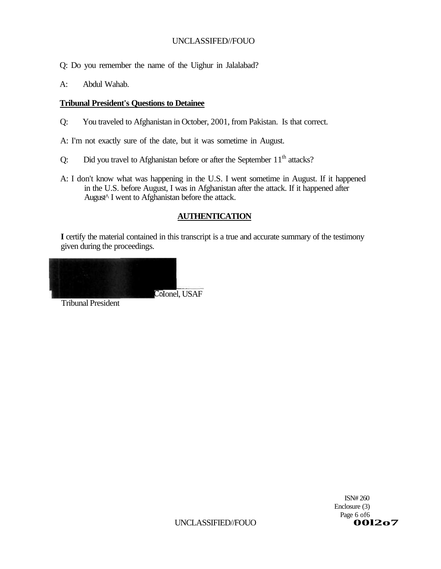Q: Do you remember the name of the Uighur in Jalalabad?

A: Abdul Wahab.

# **Tribunal President's Questions to Detainee**

Q: You traveled to Afghanistan in October, 2001, from Pakistan. Is that correct.

A: I'm not exactly sure of the date, but it was sometime in August.

- Q: Did you travel to Afghanistan before or after the September  $11<sup>th</sup>$  attacks?
- A: I don't know what was happening in the U.S. I went sometime in August. If it happened in the U.S. before August, I was in Afghanistan after the attack. If it happened after August^ I went to Afghanistan before the attack.

# **AUTHENTICATION**

**I** certify the material contained in this transcript is a true and accurate summary of the testimony given during the proceedings.

Colonel, USAF

Tribunal President

ISN# 260 Enclosure (3) Page 6 of6<br>**001207**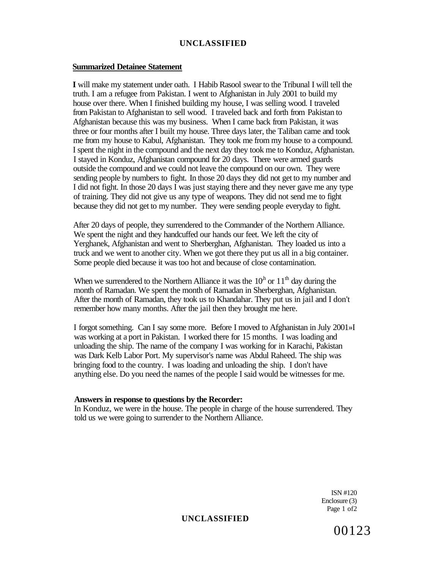# **UNCLASSIFIED**

### **Summarized Detainee Statement**

**I** will make my statement under oath. I Habib Rasool swear to the Tribunal I will tell the truth. I am a refugee from Pakistan. I went to Afghanistan in July 2001 to build my house over there. When I finished building my house, I was selling wood. I traveled from Pakistan to Afghanistan to sell wood. I traveled back and forth from Pakistan to Afghanistan because this was my business. When I came back from Pakistan, it was three or four months after I built my house. Three days later, the Taliban came and took me from my house to Kabul, Afghanistan. They took me from my house to a compound. I spent the night in the compound and the next day they took me to Konduz, Afghanistan. I stayed in Konduz, Afghanistan compound for 20 days. There were armed guards outside the compound and we could not leave the compound on our own. They were sending people by numbers to fight. In those 20 days they did not get to my number and I did not fight. In those 20 days I was just staying there and they never gave me any type of training. They did not give us any type of weapons. They did not send me to fight because they did not get to my number. They were sending people everyday to fight.

After 20 days of people, they surrendered to the Commander of the Northern Alliance. We spent the night and they handcuffed our hands our feet. We left the city of Yerghanek, Afghanistan and went to Sherberghan, Afghanistan. They loaded us into a truck and we went to another city. When we got there they put us all in a big container. Some people died because it was too hot and because of close contamination.

When we surrendered to the Northern Alliance it was the  $10<sup>h</sup>$  or  $11<sup>th</sup>$  day during the month of Ramadan. We spent the month of Ramadan in Sherberghan, Afghanistan. After the month of Ramadan, they took us to Khandahar. They put us in jail and I don't remember how many months. After the jail then they brought me here.

I forgot something. Can I say some more. Before I moved to Afghanistan in July 2001»I was working at a port in Pakistan. I worked there for 15 months. I was loading and unloading the ship. The name of the company I was working for in Karachi, Pakistan was Dark Kelb Labor Port. My supervisor's name was Abdul Raheed. The ship was bringing food to the country. I was loading and unloading the ship. I don't have anything else. Do you need the names of the people I said would be witnesses for me.

### **Answers in response to questions by the Recorder:**

In Konduz, we were in the house. The people in charge of the house surrendered. They told us we were going to surrender to the Northern Alliance.

> ISN #120 Enclosure (3) Page 1 of2

#### **UNCLASSIFIED**